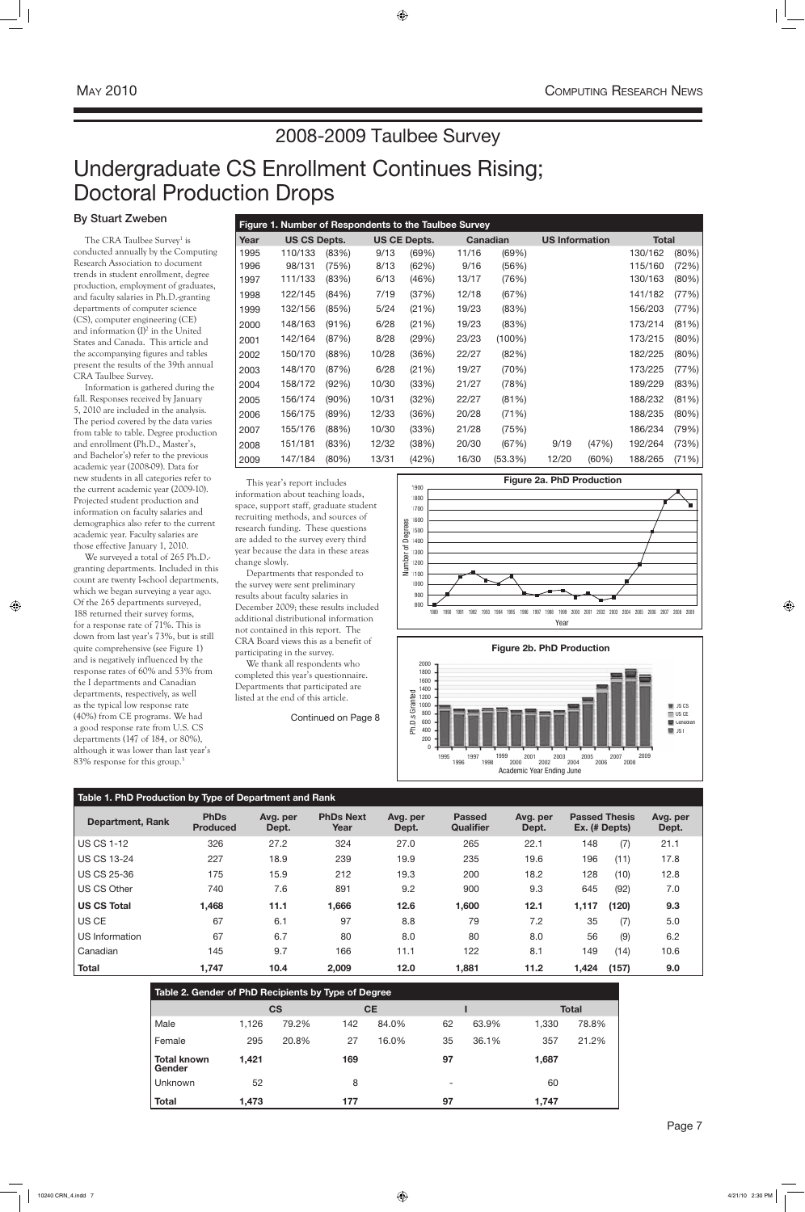# Undergraduate CS Enrollment Continues Rising; Doctoral Production Drops

By Stuart Zweben

The CRA Taulbee Survey<sup>1</sup> is conducted annually by the Computing Research Association to document trends in student enrollment, degree production, employment of graduates, and faculty salaries in Ph.D.-granting departments of computer science (CS), computer engineering (CE) and information (I)<sup>2</sup> in the United States and Canada. This article and the accompanying figures and tables present the results of the 39th annual CRA Taulbee Survey.

We surveyed a total of 265 Ph.D. granting departments. Included in this count are twenty I-school departments, which we began surveying a year ago. Of the 265 departments surveyed, 188 returned their survey forms, for a response rate of 71%. This is down from last year's 73%, but is still quite comprehensive (see Figure 1) and is negatively influenced by the response rates of 60% and 53% from the I departments and Canadian departments, respectively, as well as the typical low response rate (40%) from CE programs. We had a good response rate from U.S. CS departments (147 of 184, or 80%), although it was lower than last year's 83% response for this group.<sup>3</sup>

Information is gathered during the fall. Responses received by January 5, 2010 are included in the analysis. The period covered by the data varies from table to table. Degree production and enrollment (Ph.D., Master's, and Bachelor's) refer to the previous academic year (2008-09). Data for new students in all categories refer to the current academic year (2009-10). Projected student production and information on faculty salaries and demographics also refer to the current academic year. Faculty salaries are those effective January 1, 2010.

| Figure 1. Number of Respondents to the Taulbee Survey |                     |          |       |                     |       |                 |                       |       |              |          |  |  |  |
|-------------------------------------------------------|---------------------|----------|-------|---------------------|-------|-----------------|-----------------------|-------|--------------|----------|--|--|--|
| Year                                                  | <b>US CS Depts.</b> |          |       | <b>US CE Depts.</b> |       | <b>Canadian</b> | <b>US Information</b> |       | <b>Total</b> |          |  |  |  |
| 1995                                                  | 110/133             | (83%)    | 9/13  | (69%)               | 11/16 | (69%)           |                       |       | 130/162      | (80%)    |  |  |  |
| 1996                                                  | 98/131              | (75%)    | 8/13  | (62%)               | 9/16  | (56%)           |                       |       | 115/160      | (72%)    |  |  |  |
| 1997                                                  | 111/133             | (83%)    | 6/13  | (46%)               | 13/17 | (76%)           |                       |       | 130/163      | $(80\%)$ |  |  |  |
| 1998                                                  | 122/145             | (84%)    | 7/19  | (37%)               | 12/18 | (67%)           |                       |       | 141/182      | (77%)    |  |  |  |
| 1999                                                  | 132/156             | (85%)    | 5/24  | (21%)               | 19/23 | (83%)           |                       |       | 156/203      | (77%)    |  |  |  |
| 2000                                                  | 148/163             | (91%)    | 6/28  | (21%)               | 19/23 | (83%)           |                       |       | 173/214      | (81%)    |  |  |  |
| 2001                                                  | 142/164             | (87%)    | 8/28  | (29%)               | 23/23 | $(100\%)$       |                       |       | 173/215      | (80%)    |  |  |  |
| 2002                                                  | 150/170             | (88%)    | 10/28 | (36%)               | 22/27 | (82%)           |                       |       | 182/225      | (80%)    |  |  |  |
| 2003                                                  | 148/170             | (87%)    | 6/28  | (21%)               | 19/27 | (70%)           |                       |       | 173/225      | (77%)    |  |  |  |
| 2004                                                  | 158/172             | (92%)    | 10/30 | (33%)               | 21/27 | (78%)           |                       |       | 189/229      | (83%)    |  |  |  |
| 2005                                                  | 156/174             | $(90\%)$ | 10/31 | (32%)               | 22/27 | (81%)           |                       |       | 188/232      | (81%)    |  |  |  |
| 2006                                                  | 156/175             | (89%)    | 12/33 | (36%)               | 20/28 | (71%)           |                       |       | 188/235      | (80%)    |  |  |  |
| 2007                                                  | 155/176             | (88%)    | 10/30 | (33%)               | 21/28 | (75%)           |                       |       | 186/234      | (79%)    |  |  |  |
| 2008                                                  | 151/181             | (83%)    | 12/32 | (38%)               | 20/30 | (67%)           | 9/19                  | (47%) | 192/264      | (73%)    |  |  |  |
| 2009                                                  | 147/184             | (80%)    | 13/31 | (42%)               | 16/30 | (53.3%)         | 12/20                 | (60%) | 188/265      | (71%)    |  |  |  |

### **Table 1. PhD Production by Type of Department and Rank**

| <b>Department, Rank</b> | <b>PhDs</b><br><b>Produced</b> | Avg. per<br>Dept. | <b>PhDs Next</b><br>Year | Avg. per<br>Dept. | <b>Passed</b><br><b>Qualifier</b> | Avg. per<br>Dept. | <b>Passed Thesis</b> | Ex. (# Depts) | Avg. per<br>Dept. |
|-------------------------|--------------------------------|-------------------|--------------------------|-------------------|-----------------------------------|-------------------|----------------------|---------------|-------------------|
| <b>US CS 1-12</b>       | 326                            | 27.2              | 324                      | 27.0              | 265                               | 22.1              | 148                  | (7)           | 21.1              |
| <b>US CS 13-24</b>      | 227                            | 18.9              | 239                      | 19.9              | 235                               | 19.6              | 196                  | (11)          | 17.8              |
| <b>US CS 25-36</b>      | 175                            | 15.9              | 212                      | 19.3              | 200                               | 18.2              | 128                  | (10)          | 12.8              |
| <b>US CS Other</b>      | 740                            | 7.6               | 891                      | 9.2               | 900                               | 9.3               | 645                  | (92)          | 7.0               |
| <b>US CS Total</b>      | 1,468                          | 11.1              | 1,666                    | 12.6              | 1,600                             | 12.1              | 1,117                | (120)         | 9.3               |
| US CE                   | 67                             | 6.1               | 97                       | 8.8               | 79                                | 7.2               | 35                   | (7)           | 5.0               |
| US Information          | 67                             | 6.7               | 80                       | 8.0               | 80                                | 8.0               | 56                   | (9)           | 6.2               |
| Canadian                | 145                            | 9.7               | 166                      | 11.1              | 122                               | 8.1               | 149                  | (14)          | 10.6              |
| <b>Total</b>            | 1,747                          | 10.4              | 2,009                    | 12.0              | 1,881                             | 11.2              | 1,424                | (157)         | 9.0               |

| Table 2. Gender of PhD Recipients by Type of Degree |       |       |     |       |    |       |       |       |  |  |  |  |  |  |
|-----------------------------------------------------|-------|-------|-----|-------|----|-------|-------|-------|--|--|--|--|--|--|
| <b>CS</b><br><b>CE</b><br><b>Total</b>              |       |       |     |       |    |       |       |       |  |  |  |  |  |  |
| Male                                                | 1,126 | 79.2% | 142 | 84.0% | 62 | 63.9% | 1,330 | 78.8% |  |  |  |  |  |  |
| Female                                              | 295   | 20.8% | 27  | 16.0% | 35 | 36.1% | 357   | 21.2% |  |  |  |  |  |  |
| <b>Total known</b><br>Gender                        | 1,421 |       | 169 |       | 97 |       | 1,687 |       |  |  |  |  |  |  |
| <b>Unknown</b>                                      | 52    |       | 8   |       | -  |       | 60    |       |  |  |  |  |  |  |
| <b>Total</b>                                        | 1,473 |       | 177 |       | 97 |       | 1.747 |       |  |  |  |  |  |  |





This year's report includes information about teaching loads, space, support staff, graduate student recruiting methods, and sources of research funding. These questions are added to the survey every third year because the data in these areas change slowly.

Departments that responded to the survey were sent preliminary results about faculty salaries in December 2009; these results included additional distributional information not contained in this report. The CRA Board views this as a benefit of participating in the survey.

We thank all respondents who completed this year's questionnaire. Departments that participated are listed at the end of this article.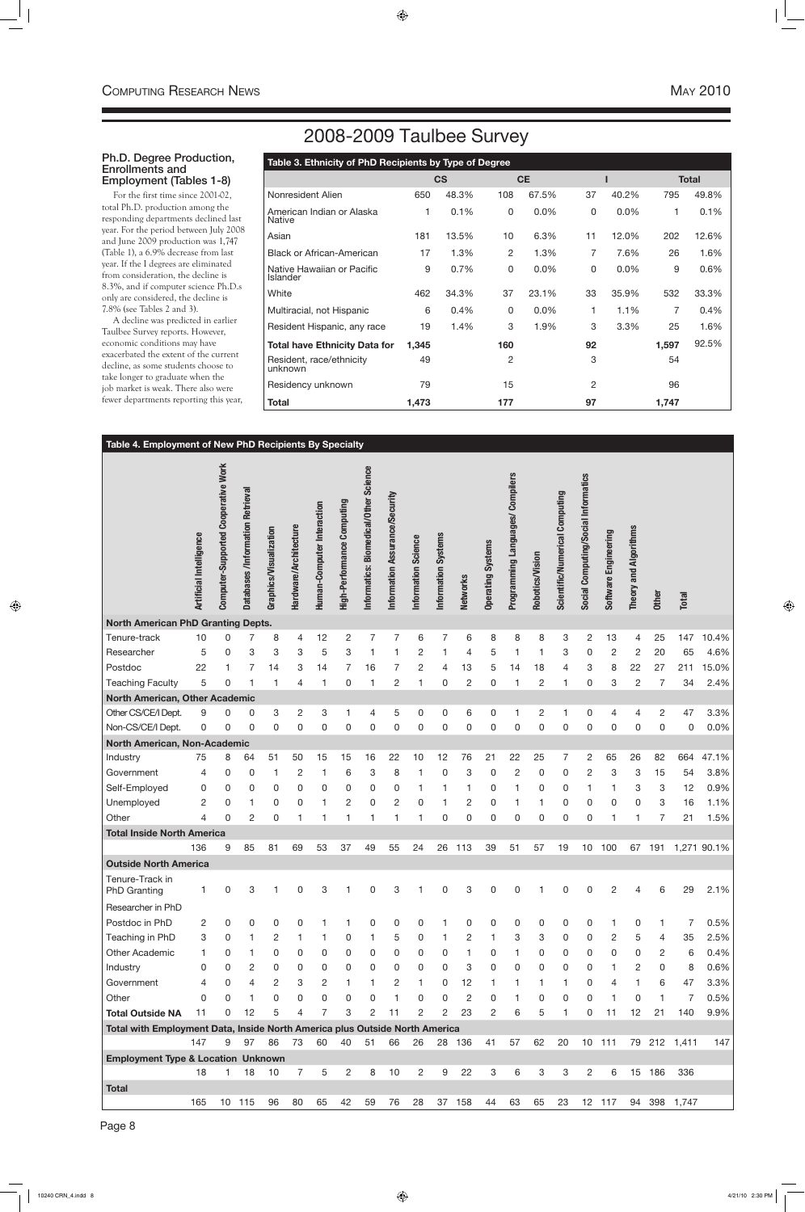# 2008-2009 Taulbee Survey

### Ph.D. Degree Production, Enrollments and Employment (Tables 1-8)

For the first time since 2001-02, total Ph.D. production among the responding departments declined last year. For the period between July 2008 and June 2009 production was 1,747 (Table 1), a 6.9% decrease from last year. If the I degrees are eliminated from consideration, the decline is 8.3%, and if computer science Ph.D.s only are considered, the decline is 7.8% (see Tables 2 and 3).

A decline was predicted in earlier Taulbee Survey reports. However, economic conditions may have exacerbated the extent of the current decline, as some students choose to take longer to graduate when the job market is weak. There also were fewer departments reporting this year,

| Table 3. Ethnicity of PhD Recipients by Type of Degree |       |           |                |           |          |       |       |              |  |  |  |  |
|--------------------------------------------------------|-------|-----------|----------------|-----------|----------|-------|-------|--------------|--|--|--|--|
|                                                        |       | <b>CS</b> |                | <b>CE</b> |          |       |       | <b>Total</b> |  |  |  |  |
| Nonresident Alien                                      | 650   | 48.3%     | 108            | 67.5%     | 37       | 40.2% | 795   | 49.8%        |  |  |  |  |
| American Indian or Alaska<br>Native                    | 1     | 0.1%      | 0              | 0.0%      | $\Omega$ | 0.0%  | 1     | 0.1%         |  |  |  |  |
| Asian                                                  | 181   | 13.5%     | 10             | 6.3%      | 11       | 12.0% | 202   | 12.6%        |  |  |  |  |
| <b>Black or African-American</b>                       | 17    | 1.3%      | 2              | 1.3%      | 7        | 7.6%  | 26    | 1.6%         |  |  |  |  |
| Native Hawaiian or Pacific<br><b>Islander</b>          | 9     | 0.7%      | 0              | 0.0%      | $\Omega$ | 0.0%  | 9     | 0.6%         |  |  |  |  |
| White                                                  | 462   | 34.3%     | 37             | 23.1%     | 33       | 35.9% | 532   | 33.3%        |  |  |  |  |
| Multiracial, not Hispanic                              | 6     | 0.4%      | $\mathbf{0}$   | 0.0%      | 1        | 1.1%  | 7     | 0.4%         |  |  |  |  |
| Resident Hispanic, any race                            | 19    | 1.4%      | 3              | 1.9%      | 3        | 3.3%  | 25    | 1.6%         |  |  |  |  |
| <b>Total have Ethnicity Data for</b>                   | 1,345 |           | 160            |           | 92       |       | 1,597 | 92.5%        |  |  |  |  |
| Resident, race/ethnicity<br>unknown                    | 49    |           | $\overline{2}$ |           | 3        |       | 54    |              |  |  |  |  |
| Residency unknown                                      | 79    |           | 15             |           | 2        |       | 96    |              |  |  |  |  |
| Total                                                  | 1,473 |           | 177            |           | 97       |       | 1,747 |              |  |  |  |  |

#### **Table 4. Employment of New PhD Recipients By Specialty** Artificial Intelligence<br>Computer-Supported Cooperative Work<br>Databases /Information Retrieval<br>Graphics/Visualization<br>Hardware/Architecture<br>Human-Computer Interaction<br>High-Performance Computing nformatics: Biomedical/Other Science **Informatics: Biomedical/Other Science** Programming Languages/ Compilers **Programming Languages/ Compilers** Social Computing/Social Informatics **Social Computing/Social Informatics** Scientific/Numerical Computing **Information Assurance/Security Scientific/Numerical Computing** Information Assurance/Security **Theory and Algorithms Theory and Algorithms** Software Engineering **Software Engineering** Information Systems Information Science **Information Systems Information Science Operating Systems Operating Systems Robotics/Vision Robotics/Vision Networks Other Total North American PhD Granting Depts.** Tenure-track 10 0 7 8 4 12 2 7 7 6 7 6 8 8 8 3 2 13 4 25 147 10.4% Researcher 5 0 3 3 3 5 3 1 1 2 1 4 5 1 1 3 0 2 2 20 65 4.6% Postdoc 22 1 7 14 3 14 7 16 7 2 4 13 5 14 18 4 3 8 22 27 211 15.0% Teaching Faculty 5 0 1 1 4 1 0 1 2 1 0 2 0 1 2 1 0 3 2 7 34 2.4% **North American, Other Academic** Other CS/CE/I Dept. 9 0 0 3 2 3 1 4 5 0 0 6 0 1 2 1 0 4 4 2 47 3.3% Non-CS/CE/I Dept. 0 0 0 0 0 0 0 0 0 0 0 0 0 0 0 0 0 0 0 0 0 0.0% **North American, Non-Academic** Industry 75 8 64 51 50 15 15 16 22 10 12 76 21 22 25 7 2 65 26 82 664 47.1% Government 4 0 0 1 2 1 6 3 8 1 0 3 0 2 0 0 2 3 3 15 54 3.8% Self-Employed 0 0 0 0 0 0 0 0 0 1 1 1 0 1 0 0 1 1 3 3 12 0.9% Unemployed 2 0 1 0 0 1 2 0 2 0 1 2 0 1 1 0 0 0 0 3 16 1.1% Other 4 0 2 0 1 1 1 1 1 1 0 0 0 0 0 0 0 1 1 7 21 1.5% **Total Inside North America** 136 9 85 81 69 53 37 49 55 24 26 113 39 51 57 19 10 100 67 191 1,271 90.1% **Outside North America**

| Tenure-Track in<br><b>PhD Granting</b>                                      |          | 0  | 3             |                | 0            | 3             |          | 0        | 3             |              | 0            | 3              | $\mathbf{0}$ | 0        |          | 0        | $\mathbf{0}$   | $\overline{2}$ | 4            | 6              | 29    | 2.1% |
|-----------------------------------------------------------------------------|----------|----|---------------|----------------|--------------|---------------|----------|----------|---------------|--------------|--------------|----------------|--------------|----------|----------|----------|----------------|----------------|--------------|----------------|-------|------|
| Researcher in PhD                                                           |          |    |               |                |              |               |          |          |               |              |              |                |              |          |          |          |                |                |              |                |       |      |
| Postdoc in PhD                                                              | 2        |    | $\Omega$      | $\Omega$       | O            |               |          | 0        | <sup>0</sup>  |              |              | 0              | 0            | 0        | 0        |          |                |                | $\Omega$     |                |       | 0.5% |
| Teaching in PhD                                                             | 3        |    |               | 2              |              |               | $\Omega$ |          | 5             | $\mathbf{0}$ |              | 2              |              | 3        | 3        | $\Omega$ | $\mathbf 0$    | $\mathbf{2}$   | 5            | $\overline{4}$ | 35    | 2.5% |
| <b>Other Academic</b>                                                       |          |    |               | $\Omega$       | 0            | 0             | 0        | 0        | $\Omega$      | $\Omega$     | 0            |                | 0            |          | 0        | $\Omega$ | $\Omega$       | $\mathbf{0}$   | $\mathbf{0}$ | 2              | 6     | 0.4% |
| Industry                                                                    | 0        |    | $\mathcal{P}$ | $\Omega$       | $\mathbf{0}$ | $\mathbf{0}$  | $\Omega$ | $\Omega$ | $\Omega$      | $\Omega$     | $\mathbf{0}$ | 3              | $\mathbf{0}$ | $\Omega$ | $\Omega$ | $\Omega$ | $\Omega$       |                | 2            | $\mathbf 0$    | 8     | 0.6% |
| Government                                                                  | 4        | 0  | 4             | $\overline{2}$ | 3            | $\mathcal{P}$ |          |          | $\mathcal{P}$ |              | 0            | 12             |              |          |          |          | $\Omega$       | 4              |              | 6              | 47    | 3.3% |
| Other                                                                       | $\Omega$ |    |               | $\Omega$       | $\mathbf{0}$ | $\mathbf{0}$  | $\Omega$ | 0        |               | $\Omega$     | $\Omega$     | $\overline{2}$ | 0            |          | 0        | O        | $\Omega$       |                | 0            |                |       | 0.5% |
| <b>Total Outside NA</b>                                                     | 11       | 0  | 12            | 5              | 4            |               | 3        | 2        | 11            | 2            | 2            | 23             | 2            | 6        | 5        |          | $\Omega$       | 11             | 12           | 21             | 140   | 9.9% |
| Total with Employment Data, Inside North America plus Outside North America |          |    |               |                |              |               |          |          |               |              |              |                |              |          |          |          |                |                |              |                |       |      |
|                                                                             | 147      | 9  | 97            | 86             | 73           | 60            | 40       | 51       | 66            | 26           | 28           | 136            | 41           | 57       | 62       | 20       | 10             | 111            | 79           | 212            | 1,411 | 147  |
| <b>Employment Type &amp; Location Unknown</b>                               |          |    |               |                |              |               |          |          |               |              |              |                |              |          |          |          |                |                |              |                |       |      |
|                                                                             | 18       |    | 18            | 10             |              | 5             | 2        | 8        | 10            | 2            | 9            | 22             | 3            | 6        | 3        | 3        | $\overline{2}$ | 6              | 15           | 186            | 336   |      |
| <b>Total</b>                                                                |          |    |               |                |              |               |          |          |               |              |              |                |              |          |          |          |                |                |              |                |       |      |
|                                                                             | 165      | 10 | 115           | 96             | 80           | 65            | 42       | 59       | 76            | 28           | 37           | 158            | 44           | 63       | 65       | 23       | 12             | 117            | 94           | 398            | 1,747 |      |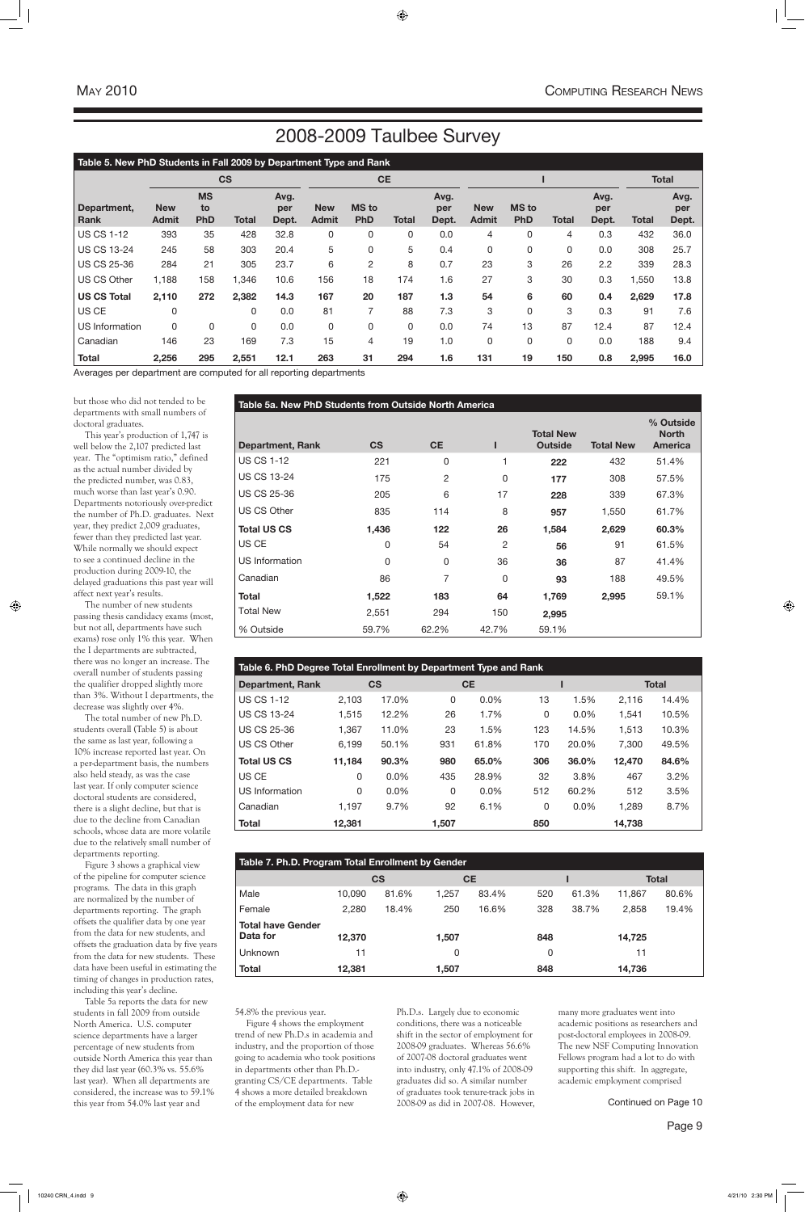but those who did not tended to be departments with small numbers of doctoral graduates.

This year's production of 1,747 is well below the 2,107 predicted last year. The "optimism ratio," defined as the actual number divided by the predicted number, was 0.83, much worse than last year's 0.90. Departments notoriously over-predict the number of Ph.D. graduates. Next year, they predict 2,009 graduates, fewer than they predicted last year. While normally we should expect to see a continued decline in the production during 2009-10, the delayed graduations this past year will affect next year's results.

The number of new students passing thesis candidacy exams (most, but not all, departments have such exams) rose only 1% this year. When the I departments are subtracted, there was no longer an increase. The overall number of students passing the qualifier dropped slightly more than 3%. Without I departments, the decrease was slightly over 4%.

The total number of new Ph.D. students overall (Table 5) is about the same as last year, following a 10% increase reported last year. On a per-department basis, the numbers also held steady, as was the case last year. If only computer science doctoral students are considered, there is a slight decline, but that is due to the decline from Canadian schools, whose data are more volatile due to the relatively small number of departments reporting.

Figure 3 shows a graphical view of the pipeline for computer science programs. The data in this graph are normalized by the number of departments reporting. The graph offsets the qualifier data by one year from the data for new students, and offsets the graduation data by five years from the data for new students. These data have been useful in estimating the timing of changes in production rates, including this year's decline. Table 5a reports the data for new students in fall 2009 from outside North America. U.S. computer science departments have a larger percentage of new students from outside North America this year than they did last year (60.3% vs. 55.6% last year). When all departments are considered, the increase was to 59.1% this year from 54.0% last year and

| Table 5a. New PhD Students from Outside North America |           |                |               |                                    |                  |                                             |  |  |  |  |  |  |
|-------------------------------------------------------|-----------|----------------|---------------|------------------------------------|------------------|---------------------------------------------|--|--|--|--|--|--|
| <b>Department, Rank</b>                               | <b>CS</b> | <b>CE</b>      |               | <b>Total New</b><br><b>Outside</b> | <b>Total New</b> | % Outside<br><b>North</b><br><b>America</b> |  |  |  |  |  |  |
| <b>US CS 1-12</b>                                     | 221       | 0              |               | 222                                | 432              | 51.4%                                       |  |  |  |  |  |  |
| <b>US CS 13-24</b>                                    | 175       | $\overline{c}$ | 0             | 177                                | 308              | 57.5%                                       |  |  |  |  |  |  |
| <b>US CS 25-36</b>                                    | 205       | 6              | 17            | 228                                | 339              | 67.3%                                       |  |  |  |  |  |  |
| US CS Other                                           | 835       | 114            | 8             | 957                                | 1,550            | 61.7%                                       |  |  |  |  |  |  |
| <b>Total US CS</b>                                    | 1,436     | 122            | 26            | 1,584                              | 2,629            | 60.3%                                       |  |  |  |  |  |  |
| US CE                                                 | 0         | 54             | $\mathcal{P}$ | 56                                 | 91               | 61.5%                                       |  |  |  |  |  |  |
| <b>US Information</b>                                 | 0         | 0              | 36            | 36                                 | 87               | 41.4%                                       |  |  |  |  |  |  |
| Canadian                                              | 86        | 7              | $\Omega$      | 93                                 | 188              | 49.5%                                       |  |  |  |  |  |  |
| <b>Total</b>                                          | 1,522     | 183            | 64            | 1,769                              | 2,995            | 59.1%                                       |  |  |  |  |  |  |
| <b>Total New</b>                                      | 2,551     | 294            | 150           | 2,995                              |                  |                                             |  |  |  |  |  |  |
| % Outside                                             | 59.7%     | 62.2%          | 42.7%         | 59.1%                              |                  |                                             |  |  |  |  |  |  |

### **Table 5. New PhD Students in Fall 2009 by Department Type and Rank**

|                       | <b>CS</b>                  |                               |              |                      | <b>CE</b>                  |                            |              |                      |                            |                            |              |                      | <b>Total</b> |                      |
|-----------------------|----------------------------|-------------------------------|--------------|----------------------|----------------------------|----------------------------|--------------|----------------------|----------------------------|----------------------------|--------------|----------------------|--------------|----------------------|
| Department,<br>Rank   | <b>New</b><br><b>Admit</b> | <b>MS</b><br>to<br><b>PhD</b> | <b>Total</b> | Avg.<br>per<br>Dept. | <b>New</b><br><b>Admit</b> | <b>MS</b> to<br><b>PhD</b> | <b>Total</b> | Avg.<br>per<br>Dept. | <b>New</b><br><b>Admit</b> | <b>MS</b> to<br><b>PhD</b> | <b>Total</b> | Avg.<br>per<br>Dept. | <b>Total</b> | Avg.<br>per<br>Dept. |
| <b>US CS 1-12</b>     | 393                        | 35                            | 428          | 32.8                 | 0                          | 0                          | 0            | 0.0                  | 4                          | 0                          | 4            | 0.3                  | 432          | 36.0                 |
| <b>US CS 13-24</b>    | 245                        | 58                            | 303          | 20.4                 | 5                          | 0                          | 5            | 0.4                  | 0                          | 0                          | $\Omega$     | 0.0                  | 308          | 25.7                 |
| <b>US CS 25-36</b>    | 284                        | 21                            | 305          | 23.7                 | 6                          | 2                          | 8            | 0.7                  | 23                         | 3                          | 26           | 2.2                  | 339          | 28.3                 |
| <b>US CS Other</b>    | 1,188                      | 158                           | 1,346        | 10.6                 | 156                        | 18                         | 174          | 1.6                  | 27                         | 3                          | 30           | 0.3                  | 1,550        | 13.8                 |
| <b>US CS Total</b>    | 2,110                      | 272                           | 2,382        | 14.3                 | 167                        | 20                         | 187          | 1.3                  | 54                         | 6                          | 60           | 0.4                  | 2,629        | 17.8                 |
| US CE                 | 0                          |                               | 0            | 0.0                  | 81                         |                            | 88           | 7.3                  | 3                          | 0                          | 3            | 0.3                  | 91           | 7.6                  |
| <b>US Information</b> | $\Omega$                   | 0                             | 0            | 0.0                  | 0                          | 0                          | 0            | 0.0                  | 74                         | 13                         | 87           | 12.4                 | 87           | 12.4                 |
| Canadian              | 146                        | 23                            | 169          | 7.3                  | 15                         | 4                          | 19           | 1.0                  | 0                          | 0                          | 0            | 0.0                  | 188          | 9.4                  |
| <b>Total</b>          | 2,256                      | 295                           | 2,551        | 12.1                 | 263                        | 31                         | 294          | 1.6                  | 131                        | 19                         | 150          | 0.8                  | 2,995        | 16.0                 |

Averages per department are computed for all reporting departments

| Table 6. PhD Degree Total Enrollment by Department Type and Rank |                                        |         |          |         |              |         |        |         |  |  |  |  |  |
|------------------------------------------------------------------|----------------------------------------|---------|----------|---------|--------------|---------|--------|---------|--|--|--|--|--|
| <b>Department, Rank</b>                                          | <b>CS</b><br><b>CE</b><br><b>Total</b> |         |          |         |              |         |        |         |  |  |  |  |  |
| <b>US CS 1-12</b>                                                | 2,103                                  | 17.0%   | $\Omega$ | $0.0\%$ | 13           | 1.5%    | 2.116  | 14.4%   |  |  |  |  |  |
| <b>US CS 13-24</b>                                               | 1,515                                  | 12.2%   | 26       | 1.7%    | $\mathbf{0}$ | $0.0\%$ | 1,541  | 10.5%   |  |  |  |  |  |
| <b>US CS 25-36</b>                                               | 1,367                                  | 11.0%   | 23       | 1.5%    | 123          | 14.5%   | 1,513  | 10.3%   |  |  |  |  |  |
| US CS Other                                                      | 6,199                                  | 50.1%   | 931      | 61.8%   | 170          | 20.0%   | 7,300  | 49.5%   |  |  |  |  |  |
| <b>Total US CS</b>                                               | 11,184                                 | 90.3%   | 980      | 65.0%   | 306          | 36.0%   | 12,470 | 84.6%   |  |  |  |  |  |
| US CE                                                            | 0                                      | $0.0\%$ | 435      | 28.9%   | 32           | 3.8%    | 467    | $3.2\%$ |  |  |  |  |  |
| US Information                                                   | 0                                      | 0.0%    | 0        | 0.0%    | 512          | 60.2%   | 512    | 3.5%    |  |  |  |  |  |
| Canadian                                                         | 1.197                                  | 9.7%    | 92       | 6.1%    | $\mathbf{0}$ | 0.0%    | 1,289  | 8.7%    |  |  |  |  |  |
| <b>Total</b>                                                     | 12,381                                 |         | 1,507    |         | 850          |         | 14,738 |         |  |  |  |  |  |

| Table 7. Ph.D. Program Total Enrollment by Gender |        |           |       |           |     |       |        |              |  |  |  |  |
|---------------------------------------------------|--------|-----------|-------|-----------|-----|-------|--------|--------------|--|--|--|--|
|                                                   |        | <b>CS</b> |       | <b>CE</b> |     |       |        | <b>Total</b> |  |  |  |  |
| Male                                              | 10.090 | 81.6%     | 1,257 | 83.4%     | 520 | 61.3% | 11,867 | 80.6%        |  |  |  |  |
| Female                                            | 2,280  | 18.4%     | 250   | 16.6%     | 328 | 38.7% | 2,858  | 19.4%        |  |  |  |  |
| <b>Total have Gender</b>                          |        |           |       |           |     |       |        |              |  |  |  |  |
| Data for                                          | 12,370 |           | 1,507 |           | 848 |       | 14,725 |              |  |  |  |  |
| Unknown                                           | 11     |           | 0     |           | 0   |       | 11     |              |  |  |  |  |
| <b>Total</b>                                      | 12,381 |           | 1,507 |           | 848 |       | 14,736 |              |  |  |  |  |

54.8% the previous year.

Figure 4 shows the employment trend of new Ph.D.s in academia and industry, and the proportion of those going to academia who took positions in departments other than Ph.D. granting CS/CE departments. Table 4 shows a more detailed breakdown of the employment data for new

Ph.D.s. Largely due to economic conditions, there was a noticeable shift in the sector of employment for 2008-09 graduates. Whereas 56.6% of 2007-08 doctoral graduates went into industry, only 47.1% of 2008-09 graduates did so. A similar number of graduates took tenure-track jobs in 2008-09 as did in 2007-08. However, many more graduates went into academic positions as researchers and post-doctoral employees in 2008-09. The new NSF Computing Innovation Fellows program had a lot to do with supporting this shift. In aggregate, academic employment comprised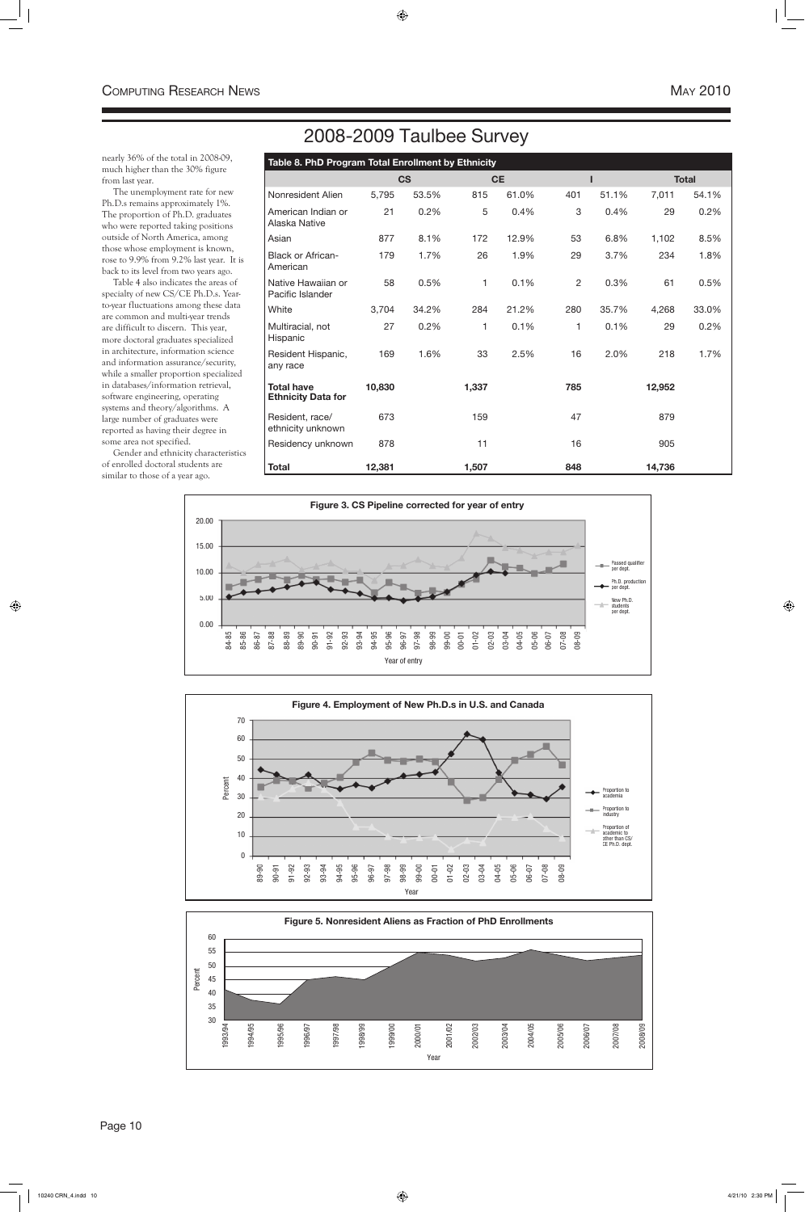nearly 36% of the total in 2008-09, much higher than the 30% figure from last year.

The unemployment rate for new Ph.D.s remains approximately 1%. The proportion of Ph.D. graduates who were reported taking positions outside of North America, among those whose employment is known, rose to 9.9% from 9.2% last year. It is back to its level from two years ago.

Table 4 also indicates the areas of specialty of new CS/CE Ph.D.s. Yearto-year fluctuations among these data are common and multi-year trends are difficult to discern. This year, more doctoral graduates specialized in architecture, information science and information assurance/security, while a smaller proportion specialized in databases/information retrieval, software engineering, operating systems and theory/algorithms. A large number of graduates were reported as having their degree in some area not specified.

Gender and ethnicity characteristics of enrolled doctoral students are similar to those of a year ago.



Page 10

| Table 8. PhD Program Total Enrollment by Ethnicity |        |           |       |           |                |       |        |              |
|----------------------------------------------------|--------|-----------|-------|-----------|----------------|-------|--------|--------------|
|                                                    |        | <b>CS</b> |       | <b>CE</b> |                |       |        | <b>Total</b> |
| Nonresident Alien                                  | 5,795  | 53.5%     | 815   | 61.0%     | 401            | 51.1% | 7,011  | 54.1%        |
| American Indian or<br>Alaska Native                | 21     | 0.2%      | 5     | 0.4%      | 3              | 0.4%  | 29     | 0.2%         |
| Asian                                              | 877    | 8.1%      | 172   | 12.9%     | 53             | 6.8%  | 1,102  | 8.5%         |
| <b>Black or African-</b><br>American               | 179    | 1.7%      | 26    | 1.9%      | 29             | 3.7%  | 234    | 1.8%         |
| Native Hawaiian or<br>Pacific Islander             | 58     | 0.5%      | 1     | 0.1%      | $\overline{c}$ | 0.3%  | 61     | 0.5%         |
| White                                              | 3,704  | 34.2%     | 284   | 21.2%     | 280            | 35.7% | 4,268  | 33.0%        |
| Multiracial, not<br>Hispanic                       | 27     | 0.2%      | 1     | 0.1%      | 1              | 0.1%  | 29     | 0.2%         |
| Resident Hispanic,<br>any race                     | 169    | 1.6%      | 33    | 2.5%      | 16             | 2.0%  | 218    | 1.7%         |
| <b>Total have</b><br><b>Ethnicity Data for</b>     | 10,830 |           | 1,337 |           | 785            |       | 12,952 |              |
| Resident, race/<br>ethnicity unknown               | 673    |           | 159   |           | 47             |       | 879    |              |
| Residency unknown                                  | 878    |           | 11    |           | 16             |       | 905    |              |
| <b>Total</b>                                       | 12,381 |           | 1,507 |           | 848            |       | 14,736 |              |





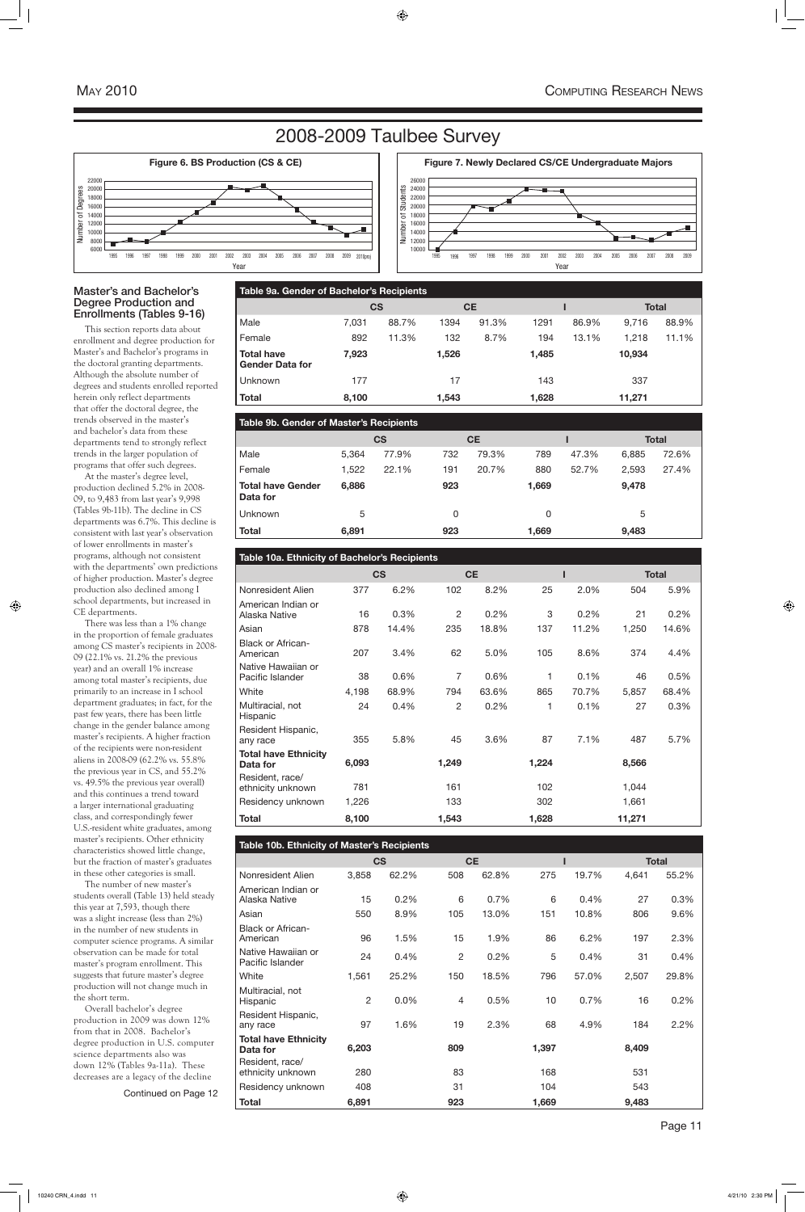# 2008-2009 Taulbee Survey

### Master's and Bachelor's Degree Production and Enrollments (Tables 9-16)

This section reports data about enrollment and degree production for Master's and Bachelor's programs in the doctoral granting departments. Although the absolute number of degrees and students enrolled reported herein only reflect departments that offer the doctoral degree, the trends observed in the master's and bachelor's data from these departments tend to strongly reflect trends in the larger population of programs that offer such degrees.

At the master's degree level, production declined 5.2% in 2008- 09, to 9,483 from last year's 9,998 (Tables 9b-11b). The decline in CS departments was 6.7%. This decline is consistent with last year's observation of lower enrollments in master's programs, although not consistent with the departments' own predictions of higher production. Master's degree production also declined among I school departments, but increased in CE departments.

There was less than a 1% change in the proportion of female graduates among CS master's recipients in 2008- 09 (22.1% vs. 21.2% the previous year) and an overall 1% increase among total master's recipients, due primarily to an increase in I school department graduates; in fact, for the past few years, there has been little change in the gender balance among master's recipients. A higher fraction of the recipients were non-resident aliens in 2008-09 (62.2% vs. 55.8% the previous year in CS, and 55.2% vs. 49.5% the previous year overall) and this continues a trend toward a larger international graduating class, and correspondingly fewer U.S.-resident white graduates, among master's recipients. Other ethnicity characteristics showed little change, but the fraction of master's graduates in these other categories is small. The number of new master's students overall (Table 13) held steady this year at 7,593, though there was a slight increase (less than 2%) in the number of new students in computer science programs. A similar observation can be made for total master's program enrollment. This suggests that future master's degree production will not change much in the short term. Overall bachelor's degree production in 2009 was down 12% from that in 2008. Bachelor's degree production in U.S. computer science departments also was down 12% (Tables 9a-11a). These decreases are a legacy of the decline

| Table 10b. Ethnicity of Master's Recipients |                |           |                |           |       |       |       |              |  |  |  |  |
|---------------------------------------------|----------------|-----------|----------------|-----------|-------|-------|-------|--------------|--|--|--|--|
|                                             |                | <b>CS</b> |                | <b>CE</b> |       |       |       | <b>Total</b> |  |  |  |  |
| Nonresident Alien                           | 3,858          | 62.2%     | 508            | 62.8%     | 275   | 19.7% | 4,641 | 55.2%        |  |  |  |  |
| American Indian or<br>Alaska Native         | 15             | 0.2%      | 6              | 0.7%      | 6     | 0.4%  | 27    | 0.3%         |  |  |  |  |
| Asian                                       | 550            | 8.9%      | 105            | 13.0%     | 151   | 10.8% | 806   | 9.6%         |  |  |  |  |
| <b>Black or African-</b><br>American        | 96             | 1.5%      | 15             | 1.9%      | 86    | 6.2%  | 197   | 2.3%         |  |  |  |  |
| Native Hawaiian or<br>Pacific Islander      | 24             | 0.4%      | $\overline{c}$ | 0.2%      | 5     | 0.4%  | 31    | 0.4%         |  |  |  |  |
| White                                       | 1,561          | 25.2%     | 150            | 18.5%     | 796   | 57.0% | 2,507 | 29.8%        |  |  |  |  |
| Multiracial, not<br>Hispanic                | $\overline{2}$ | 0.0%      | $\overline{4}$ | 0.5%      | 10    | 0.7%  | 16    | 0.2%         |  |  |  |  |
| Resident Hispanic,<br>any race              | 97             | 1.6%      | 19             | 2.3%      | 68    | 4.9%  | 184   | 2.2%         |  |  |  |  |
| <b>Total have Ethnicity</b><br>Data for     | 6,203          |           | 809            |           | 1,397 |       | 8,409 |              |  |  |  |  |
| Resident, race/<br>ethnicity unknown        | 280            |           | 83             |           | 168   |       | 531   |              |  |  |  |  |
| Residency unknown                           | 408            |           | 31             |           | 104   |       | 543   |              |  |  |  |  |
| <b>Total</b>                                | 6,891          |           | 923            |           | 1,669 |       | 9,483 |              |  |  |  |  |





| Table 9a. Gender of Bachelor's Recipients   |       |       |       |           |       |       |              |       |  |  |  |  |
|---------------------------------------------|-------|-------|-------|-----------|-------|-------|--------------|-------|--|--|--|--|
|                                             | CS    |       |       | <b>CE</b> |       |       | <b>Total</b> |       |  |  |  |  |
| Male                                        | 7,031 | 88.7% | 1394  | 91.3%     | 1291  | 86.9% | 9,716        | 88.9% |  |  |  |  |
| Female                                      | 892   | 11.3% | 132   | 8.7%      | 194   | 13.1% | 1,218        | 11.1% |  |  |  |  |
| <b>Total have</b><br><b>Gender Data for</b> | 7,923 |       | 1,526 |           | 1,485 |       | 10,934       |       |  |  |  |  |
| <b>Unknown</b>                              | 177   |       | 17    |           | 143   |       | 337          |       |  |  |  |  |
| <b>Total</b>                                | 8,100 |       | 1,543 |           | 1,628 |       | 11,271       |       |  |  |  |  |

| <b>Table 9b. Gender of Master's Recipients</b> |       |       |     |           |       |       |       |              |  |
|------------------------------------------------|-------|-------|-----|-----------|-------|-------|-------|--------------|--|
|                                                | CS    |       |     | <b>CE</b> |       |       |       | <b>Total</b> |  |
| Male                                           | 5.364 | 77.9% | 732 | 79.3%     | 789   | 47.3% | 6,885 | 72.6%        |  |
| Female                                         | 1,522 | 22.1% | 191 | 20.7%     | 880   | 52.7% | 2,593 | 27.4%        |  |
| <b>Total have Gender</b><br>Data for           | 6,886 |       | 923 |           | 1,669 |       | 9,478 |              |  |
| <b>Unknown</b>                                 | 5     |       | 0   |           | 0     |       | 5     |              |  |
| <b>Total</b>                                   | 6,891 |       | 923 |           | 1,669 |       | 9,483 |              |  |

| Table 10a. Ethnicity of Bachelor's Recipients |       |           |                |           |       |       |        |              |  |  |  |
|-----------------------------------------------|-------|-----------|----------------|-----------|-------|-------|--------|--------------|--|--|--|
|                                               |       | <b>CS</b> |                | <b>CE</b> |       |       |        | <b>Total</b> |  |  |  |
| Nonresident Alien                             | 377   | 6.2%      | 102            | 8.2%      | 25    | 2.0%  | 504    | 5.9%         |  |  |  |
| American Indian or<br>Alaska Native           | 16    | 0.3%      | 2              | 0.2%      | 3     | 0.2%  | 21     | 0.2%         |  |  |  |
| Asian                                         | 878   | 14.4%     | 235            | 18.8%     | 137   | 11.2% | 1,250  | 14.6%        |  |  |  |
| <b>Black or African-</b><br>American          | 207   | 3.4%      | 62             | 5.0%      | 105   | 8.6%  | 374    | 4.4%         |  |  |  |
| Native Hawaiian or<br>Pacific Islander        | 38    | 0.6%      | $\overline{7}$ | 0.6%      | 1     | 0.1%  | 46     | 0.5%         |  |  |  |
| White                                         | 4,198 | 68.9%     | 794            | 63.6%     | 865   | 70.7% | 5,857  | 68.4%        |  |  |  |
| Multiracial, not<br>Hispanic                  | 24    | 0.4%      | 2              | 0.2%      | 1     | 0.1%  | 27     | 0.3%         |  |  |  |
| Resident Hispanic,<br>any race                | 355   | 5.8%      | 45             | 3.6%      | 87    | 7.1%  | 487    | 5.7%         |  |  |  |
| <b>Total have Ethnicity</b><br>Data for       | 6,093 |           | 1,249          |           | 1,224 |       | 8,566  |              |  |  |  |
| Resident, race/<br>ethnicity unknown          | 781   |           | 161            |           | 102   |       | 1,044  |              |  |  |  |
| Residency unknown                             | 1,226 |           | 133            |           | 302   |       | 1,661  |              |  |  |  |
| <b>Total</b>                                  | 8,100 |           | 1,543          |           | 1,628 |       | 11,271 |              |  |  |  |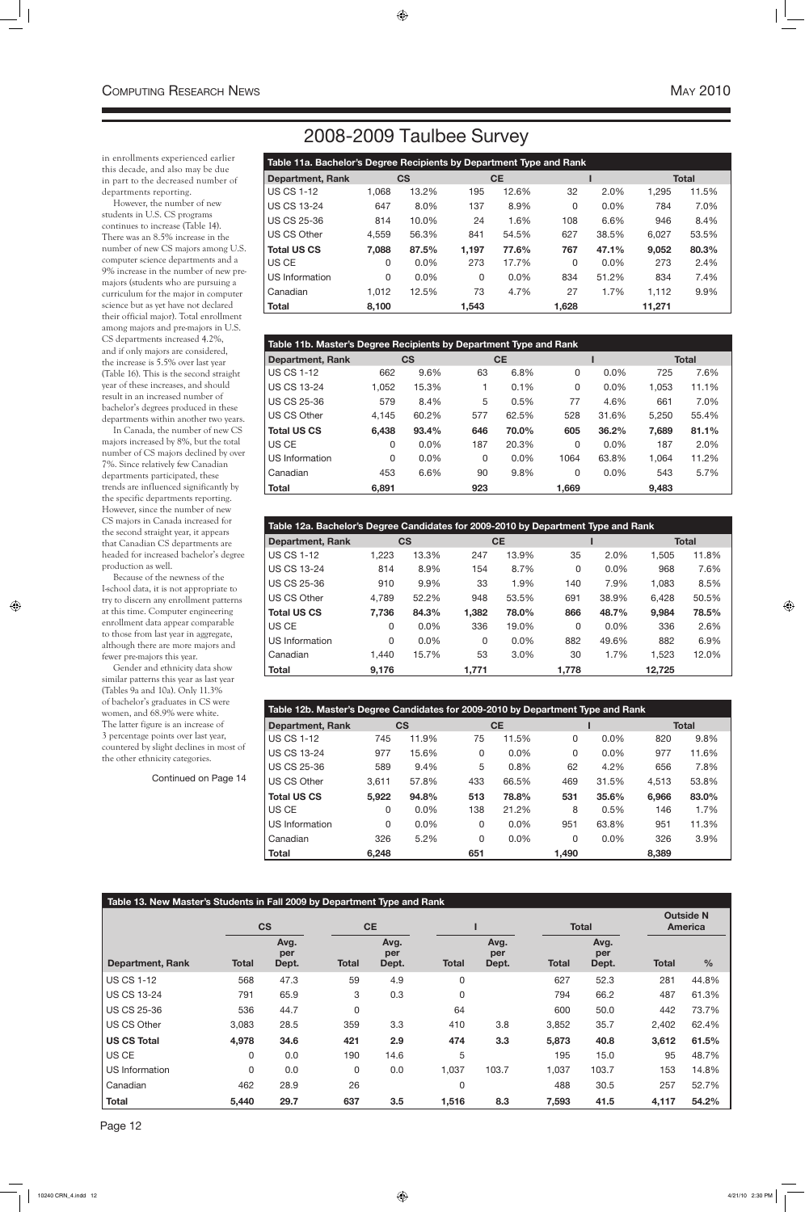# 2008-2009 Taulbee Survey

| Table 11a. Bachelor's Degree Recipients by Department Type and Rank |           |         |       |           |              |       |              |       |  |  |
|---------------------------------------------------------------------|-----------|---------|-------|-----------|--------------|-------|--------------|-------|--|--|
| <b>Department, Rank</b>                                             | <b>CS</b> |         |       | <b>CE</b> |              |       | <b>Total</b> |       |  |  |
| US CS 1-12<br>1,068                                                 |           | 13.2%   | 195   | 12.6%     | 32           | 2.0%  | 1,295        | 11.5% |  |  |
| l US CS 13-24                                                       | 647       | 8.0%    | 137   | 8.9%      | $\mathbf{0}$ | 0.0%  | 784          | 7.0%  |  |  |
| l US CS 25-36                                                       | 814       | 10.0%   | 24    | 1.6%      | 108          | 6.6%  | 946          | 8.4%  |  |  |
| l US CS Other<br>4,559                                              |           | 56.3%   | 841   | 54.5%     | 627          | 38.5% | 6,027        | 53.5% |  |  |
| <b>Total US CS</b><br>7,088                                         |           | 87.5%   | 1,197 | 77.6%     | 767          | 47.1% | 9,052        | 80.3% |  |  |
| I US CE                                                             | 0         | 0.0%    | 273   | 17.7%     | $\mathbf{0}$ | 0.0%  | 273          | 2.4%  |  |  |
| US Information                                                      | 0         | $0.0\%$ | 0     | $0.0\%$   | 834          | 51.2% | 834          | 7.4%  |  |  |
| Canadian<br>1.012                                                   |           | 12.5%   | 73    | 4.7%      | 27           | 1.7%  | 1,112        | 9.9%  |  |  |
| Total<br>8,100                                                      |           |         | 1.543 |           | 1,628        |       | 11,271       |       |  |  |

| Table 12a. Bachelor's Degree Candidates for 2009-2010 by Department Type and Rank |       |         |       |           |       |         |        |              |  |  |  |
|-----------------------------------------------------------------------------------|-------|---------|-------|-----------|-------|---------|--------|--------------|--|--|--|
| <b>Department, Rank</b>                                                           | CS    |         |       | <b>CE</b> |       |         |        | <b>Total</b> |  |  |  |
| <b>US CS 1-12</b>                                                                 | 1,223 | 13.3%   | 247   | 13.9%     | 35    | 2.0%    | 1,505  | 11.8%        |  |  |  |
| <b>US CS 13-24</b>                                                                | 814   | 8.9%    | 154   | 8.7%      | 0     | 0.0%    | 968    | 7.6%         |  |  |  |
| <b>US CS 25-36</b>                                                                | 910   | 9.9%    | 33    | 1.9%      | 140   | 7.9%    | 1.083  | 8.5%         |  |  |  |
| US CS Other                                                                       | 4,789 | 52.2%   | 948   | 53.5%     | 691   | 38.9%   | 6,428  | 50.5%        |  |  |  |
| <b>Total US CS</b>                                                                | 7,736 | 84.3%   | 1,382 | 78.0%     | 866   | 48.7%   | 9,984  | 78.5%        |  |  |  |
| US CE                                                                             | 0     | $0.0\%$ | 336   | 19.0%     | 0     | $0.0\%$ | 336    | 2.6%         |  |  |  |
| US Information                                                                    | 0     | $0.0\%$ | 0     | $0.0\%$   | 882   | 49.6%   | 882    | 6.9%         |  |  |  |
| Canadian                                                                          | 1.440 | 15.7%   | 53    | 3.0%      | 30    | 1.7%    | 1,523  | 12.0%        |  |  |  |
| <b>Total</b>                                                                      | 9,176 |         | 1,771 |           | 1,778 |         | 12,725 |              |  |  |  |

| Table 11b. Master's Degree Recipients by Department Type and Rank |       |         |           |         |       |       |              |       |  |  |  |
|-------------------------------------------------------------------|-------|---------|-----------|---------|-------|-------|--------------|-------|--|--|--|
| <b>Department, Rank</b>                                           | CS    |         | <b>CE</b> |         |       |       | <b>Total</b> |       |  |  |  |
| <b>US CS 1-12</b>                                                 | 662   | 9.6%    | 63        | 6.8%    | 0     | 0.0%  | 725          | 7.6%  |  |  |  |
| <b>US CS 13-24</b>                                                | 1,052 | 15.3%   |           | 0.1%    | 0     | 0.0%  | 1,053        | 11.1% |  |  |  |
| <b>US CS 25-36</b>                                                | 579   | 8.4%    | 5         | 0.5%    | 77    | 4.6%  | 661          | 7.0%  |  |  |  |
| US CS Other                                                       | 4.145 | 60.2%   | 577       | 62.5%   | 528   | 31.6% | 5,250        | 55.4% |  |  |  |
| <b>Total US CS</b>                                                | 6,438 | 93.4%   | 646       | 70.0%   | 605   | 36.2% | 7,689        | 81.1% |  |  |  |
| US CE                                                             | 0     | 0.0%    | 187       | 20.3%   | 0     | 0.0%  | 187          | 2.0%  |  |  |  |
| US Information                                                    | 0     | $0.0\%$ | 0         | $0.0\%$ | 1064  | 63.8% | 1,064        | 11.2% |  |  |  |
| Canadian                                                          | 453   | 6.6%    | 90        | 9.8%    | 0     | 0.0%  | 543          | 5.7%  |  |  |  |
| <b>Total</b>                                                      | 6.891 |         | 923       |         | 1.669 |       | 9.483        |       |  |  |  |

| Table 12b. Master's Degree Candidates for 2009-2010 by Department Type and Rank |                          |         |          |           |              |         |       |              |  |  |
|---------------------------------------------------------------------------------|--------------------------|---------|----------|-----------|--------------|---------|-------|--------------|--|--|
| <b>Department, Rank</b>                                                         | $\mathsf{CS}\phantom{0}$ |         |          | <b>CE</b> |              |         |       | <b>Total</b> |  |  |
| <b>US CS 1-12</b>                                                               | 745                      | 11.9%   | 75       | 11.5%     | 0            | $0.0\%$ | 820   | 9.8%         |  |  |
| <b>US CS 13-24</b>                                                              | 977                      | 15.6%   | $\Omega$ | $0.0\%$   | $\mathbf{0}$ | 0.0%    | 977   | 11.6%        |  |  |
| <b>US CS 25-36</b>                                                              | 589                      | 9.4%    | 5        | 0.8%      | 62           | 4.2%    | 656   | 7.8%         |  |  |
| US CS Other                                                                     | 3.611                    | 57.8%   | 433      | 66.5%     | 469          | 31.5%   | 4,513 | 53.8%        |  |  |
| <b>Total US CS</b>                                                              | 5,922                    | 94.8%   | 513      | 78.8%     | 531          | 35.6%   | 6,966 | 83.0%        |  |  |
| US CE                                                                           | 0                        | 0.0%    | 138      | 21.2%     | 8            | 0.5%    | 146   | 1.7%         |  |  |
| US Information                                                                  | $\Omega$                 | $0.0\%$ | 0        | $0.0\%$   | 951          | 63.8%   | 951   | 11.3%        |  |  |
| Canadian                                                                        | 326                      | 5.2%    | 0        | $0.0\%$   | 0            | $0.0\%$ | 326   | 3.9%         |  |  |
| <b>Total</b>                                                                    | 6.248                    |         | 651      |           | 1.490        |         | 8.389 |              |  |  |

| Table 13. New Master's Students in Fall 2009 by Department Type and Rank |              |                      |              |                      |              |                      |              |                      |                                    |       |  |
|--------------------------------------------------------------------------|--------------|----------------------|--------------|----------------------|--------------|----------------------|--------------|----------------------|------------------------------------|-------|--|
|                                                                          | <b>CS</b>    |                      |              | <b>CE</b>            |              |                      | <b>Total</b> |                      | <b>Outside N</b><br><b>America</b> |       |  |
| <b>Department, Rank</b>                                                  | <b>Total</b> | Avg.<br>per<br>Dept. | <b>Total</b> | Avg.<br>per<br>Dept. | <b>Total</b> | Avg.<br>per<br>Dept. | <b>Total</b> | Avg.<br>per<br>Dept. | <b>Total</b>                       | $\%$  |  |
| <b>US CS 1-12</b>                                                        | 568          | 47.3                 | 59           | 4.9                  | $\mathbf{0}$ |                      | 627          | 52.3                 | 281                                | 44.8% |  |
| <b>US CS 13-24</b>                                                       | 791          | 65.9                 | 3            | 0.3                  | $\mathbf{0}$ |                      | 794          | 66.2                 | 487                                | 61.3% |  |
| <b>US CS 25-36</b>                                                       | 536          | 44.7                 | 0            |                      | 64           |                      | 600          | 50.0                 | 442                                | 73.7% |  |
| US CS Other                                                              | 3,083        | 28.5                 | 359          | 3.3                  | 410          | 3.8                  | 3,852        | 35.7                 | 2,402                              | 62.4% |  |
| <b>US CS Total</b>                                                       | 4,978        | 34.6                 | 421          | 2.9                  | 474          | 3.3                  | 5,873        | 40.8                 | 3,612                              | 61.5% |  |
| US CE                                                                    | 0            | 0.0                  | 190          | 14.6                 | 5            |                      | 195          | 15.0                 | 95                                 | 48.7% |  |
| US Information                                                           | 0            | 0.0                  | $\Omega$     | 0.0                  | 1,037        | 103.7                | 1,037        | 103.7                | 153                                | 14.8% |  |
| Canadian                                                                 | 462          | 28.9                 | 26           |                      | 0            |                      | 488          | 30.5                 | 257                                | 52.7% |  |
| <b>Total</b>                                                             | 5,440        | 29.7                 | 637          | 3.5                  | 1,516        | 8.3                  | 7,593        | 41.5                 | 4,117                              | 54.2% |  |

in enrollments experienced earlier this decade, and also may be due in part to the decreased number of departments reporting.

However, the number of new students in U.S. CS programs continues to increase (Table 14). There was an 8.5% increase in the number of new CS majors among U.S. computer science departments and a 9% increase in the number of new premajors (students who are pursuing a curriculum for the major in computer science but as yet have not declared their official major). Total enrollment among majors and pre-majors in U.S. CS departments increased 4.2%, and if only majors are considered, the increase is 5.5% over last year (Table 16). This is the second straight year of these increases, and should result in an increased number of bachelor's degrees produced in these departments within another two years.

In Canada, the number of new CS majors increased by 8%, but the total number of CS majors declined by over 7%. Since relatively few Canadian departments participated, these trends are influenced significantly by the specific departments reporting. However, since the number of new CS majors in Canada increased for the second straight year, it appears that Canadian CS departments are headed for increased bachelor's degree production as well.

Because of the newness of the I-school data, it is not appropriate to try to discern any enrollment patterns at this time. Computer engineering enrollment data appear comparable to those from last year in aggregate, although there are more majors and fewer pre-majors this year.

Gender and ethnicity data show similar patterns this year as last year (Tables 9a and 10a). Only 11.3% of bachelor's graduates in CS were women, and 68.9% were white. The latter figure is an increase of 3 percentage points over last year, countered by slight declines in most of the other ethnicity categories.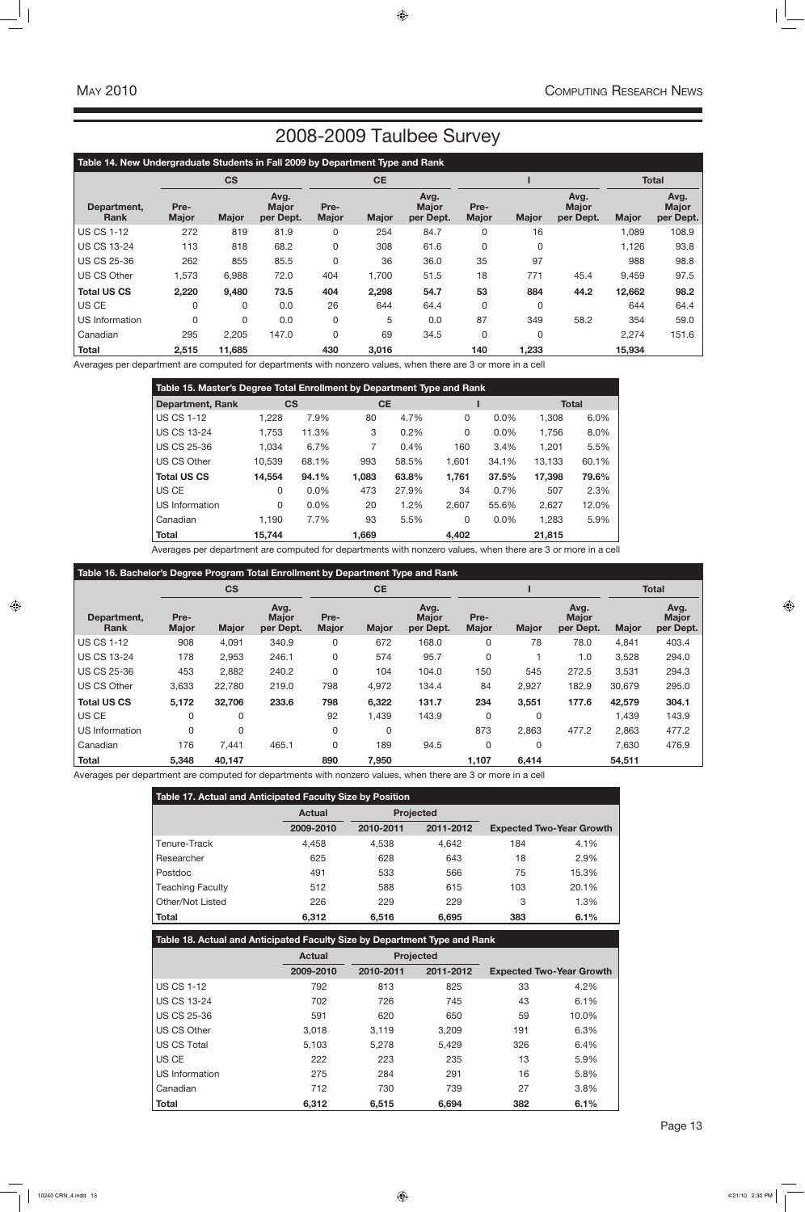| Table 17. Actual and Anticipated Faculty Size by Position |               |                  |           |     |                                 |  |  |  |  |  |
|-----------------------------------------------------------|---------------|------------------|-----------|-----|---------------------------------|--|--|--|--|--|
|                                                           | <b>Actual</b> | <b>Projected</b> |           |     |                                 |  |  |  |  |  |
|                                                           | 2009-2010     | 2010-2011        | 2011-2012 |     | <b>Expected Two-Year Growth</b> |  |  |  |  |  |
| Tenure-Track                                              | 4,458         | 4.538            | 4,642     | 184 | 4.1%                            |  |  |  |  |  |
| Researcher                                                | 625           | 628              | 643       | 18  | 2.9%                            |  |  |  |  |  |
| Postdoc                                                   | 491           | 533              | 566       | 75  | 15.3%                           |  |  |  |  |  |
| <b>Teaching Faculty</b>                                   | 512           | 588              | 615       | 103 | 20.1%                           |  |  |  |  |  |
| Other/Not Listed                                          | 226           | 229              | 229       | 3   | 1.3%                            |  |  |  |  |  |
| <b>Total</b>                                              | 6,312         | 6,516            | 6,695     | 383 | 6.1%                            |  |  |  |  |  |

| Table 18. Actual and Anticipated Faculty Size by Department Type and Rank |               |           |                  |                                 |       |  |  |  |  |  |
|---------------------------------------------------------------------------|---------------|-----------|------------------|---------------------------------|-------|--|--|--|--|--|
|                                                                           | <b>Actual</b> |           | <b>Projected</b> |                                 |       |  |  |  |  |  |
|                                                                           | 2009-2010     | 2010-2011 | 2011-2012        | <b>Expected Two-Year Growth</b> |       |  |  |  |  |  |
| <b>US CS 1-12</b>                                                         | 792           | 813       | 825              | 33                              | 4.2%  |  |  |  |  |  |
| <b>US CS 13-24</b>                                                        | 702           | 726       | 745              | 43                              | 6.1%  |  |  |  |  |  |
| <b>US CS 25-36</b>                                                        | 591           | 620       | 650              | 59                              | 10.0% |  |  |  |  |  |
| US CS Other                                                               | 3.018         | 3,119     | 3,209            | 191                             | 6.3%  |  |  |  |  |  |
| US CS Total                                                               | 5.103         | 5.278     | 5,429            | 326                             | 6.4%  |  |  |  |  |  |
| US CE                                                                     | 222           | 223       | 235              | 13                              | 5.9%  |  |  |  |  |  |
| US Information                                                            | 275           | 284       | 291              | 16                              | 5.8%  |  |  |  |  |  |
| Canadian                                                                  | 712           | 730       | 739              | 27                              | 3.8%  |  |  |  |  |  |
| <b>Total</b>                                                              | 6.312         | 6.515     | 6.694            | 382                             | 6.1%  |  |  |  |  |  |

| Table 15. Master's Degree Total Enrollment by Department Type and Rank |              |         |           |       |       |       |              |         |  |  |  |
|------------------------------------------------------------------------|--------------|---------|-----------|-------|-------|-------|--------------|---------|--|--|--|
| <b>Department, Rank</b>                                                | CS           |         | <b>CE</b> |       |       |       | <b>Total</b> |         |  |  |  |
| <b>US CS 1-12</b>                                                      | 1,228        | 7.9%    | 80        | 4.7%  | 0     | 0.0%  | 1,308        | $6.0\%$ |  |  |  |
| <b>US CS 13-24</b>                                                     | 1,753        | 11.3%   | 3         | 0.2%  | 0     | 0.0%  | 1,756        | 8.0%    |  |  |  |
| <b>US CS 25-36</b>                                                     | 1.034        | 6.7%    | 7         | 0.4%  | 160   | 3.4%  | 1,201        | 5.5%    |  |  |  |
| US CS Other                                                            | 10,539       | 68.1%   | 993       | 58.5% | 1,601 | 34.1% | 13,133       | 60.1%   |  |  |  |
| <b>Total US CS</b>                                                     | 14,554       | 94.1%   | 1,083     | 63.8% | 1,761 | 37.5% | 17,398       | 79.6%   |  |  |  |
| US CE                                                                  | 0            | $0.0\%$ | 473       | 27.9% | 34    | 0.7%  | 507          | 2.3%    |  |  |  |
| US Information                                                         | $\mathbf{0}$ | $0.0\%$ | 20        | 1.2%  | 2,607 | 55.6% | 2,627        | 12.0%   |  |  |  |
| Canadian                                                               | 1,190        | 7.7%    | 93        | 5.5%  | 0     | 0.0%  | 1,283        | 5.9%    |  |  |  |
| <b>Total</b>                                                           | 15,744       |         | 1,669     |       | 4,402 |       | 21,815       |         |  |  |  |

Averages per department are computed for departments with nonzero values, when there are 3 or more in a cell

| Table 14. New Undergraduate Students in Fall 2009 by Department Type and Rank |                      |              |                                   |                      |              |                                   |                      |              |                                   |              |                                   |
|-------------------------------------------------------------------------------|----------------------|--------------|-----------------------------------|----------------------|--------------|-----------------------------------|----------------------|--------------|-----------------------------------|--------------|-----------------------------------|
|                                                                               |                      | <b>CS</b>    |                                   | <b>CE</b>            |              |                                   |                      |              | <b>Total</b>                      |              |                                   |
| Department,<br><b>Rank</b>                                                    | Pre-<br><b>Major</b> | <b>Major</b> | Avg.<br><b>Major</b><br>per Dept. | Pre-<br><b>Major</b> | <b>Major</b> | Avg.<br><b>Major</b><br>per Dept. | Pre-<br><b>Major</b> | <b>Major</b> | Avg.<br><b>Major</b><br>per Dept. | <b>Major</b> | Avg.<br><b>Major</b><br>per Dept. |
| <b>US CS 1-12</b>                                                             | 272                  | 819          | 81.9                              | 0                    | 254          | 84.7                              | 0                    | 16           |                                   | 1,089        | 108.9                             |
| <b>US CS 13-24</b>                                                            | 113                  | 818          | 68.2                              | 0                    | 308          | 61.6                              | 0                    | 0            |                                   | 1,126        | 93.8                              |
| <b>US CS 25-36</b>                                                            | 262                  | 855          | 85.5                              | 0                    | 36           | 36.0                              | 35                   | 97           |                                   | 988          | 98.8                              |
| <b>US CS Other</b>                                                            | 1,573                | 6,988        | 72.0                              | 404                  | 1,700        | 51.5                              | 18                   | 771          | 45.4                              | 9,459        | 97.5                              |
| <b>Total US CS</b>                                                            | 2,220                | 9,480        | 73.5                              | 404                  | 2,298        | 54.7                              | 53                   | 884          | 44.2                              | 12,662       | 98.2                              |
| US CE                                                                         | 0                    | 0            | 0.0                               | 26                   | 644          | 64.4                              | 0                    | 0            |                                   | 644          | 64.4                              |
| <b>US Information</b>                                                         | 0                    | 0            | 0.0                               | 0                    | 5            | 0.0                               | 87                   | 349          | 58.2                              | 354          | 59.0                              |
| Canadian                                                                      | 295                  | 2,205        | 147.0                             | 0                    | 69           | 34.5                              | 0                    | 0            |                                   | 2,274        | 151.6                             |
| <b>Total</b>                                                                  | 2,515                | 11,685       |                                   | 430                  | 3,016        |                                   | 140                  | 1,233        |                                   | 15,934       |                                   |

Averages per department are computed for departments with nonzero values, when there are 3 or more in a cell

| Table 16. Bachelor's Degree Program Total Enrollment by Department Type and Rank |                      |              |                                   |                      |              |                                   |                      |              |                                   |              |                                   |
|----------------------------------------------------------------------------------|----------------------|--------------|-----------------------------------|----------------------|--------------|-----------------------------------|----------------------|--------------|-----------------------------------|--------------|-----------------------------------|
|                                                                                  |                      | <b>CS</b>    |                                   | <b>CE</b>            |              |                                   |                      |              |                                   | <b>Total</b> |                                   |
| Department.<br><b>Rank</b>                                                       | Pre-<br><b>Major</b> | <b>Major</b> | Avg.<br><b>Major</b><br>per Dept. | Pre-<br><b>Major</b> | <b>Major</b> | Avg.<br><b>Major</b><br>per Dept. | Pre-<br><b>Major</b> | <b>Major</b> | Avg.<br><b>Major</b><br>per Dept. | <b>Major</b> | Avg.<br><b>Major</b><br>per Dept. |
| <b>US CS 1-12</b>                                                                | 908                  | 4,091        | 340.9                             | 0                    | 672          | 168.0                             | 0                    | 78           | 78.0                              | 4,841        | 403.4                             |
| <b>US CS 13-24</b>                                                               | 178                  | 2,953        | 246.1                             | 0                    | 574          | 95.7                              | 0                    |              | 1.0                               | 3,528        | 294.0                             |
| <b>US CS 25-36</b>                                                               | 453                  | 2,882        | 240.2                             | 0                    | 104          | 104.0                             | 150                  | 545          | 272.5                             | 3,531        | 294.3                             |
| <b>US CS Other</b>                                                               | 3,633                | 22,780       | 219.0                             | 798                  | 4,972        | 134.4                             | 84                   | 2,927        | 182.9                             | 30,679       | 295.0                             |
| <b>Total US CS</b>                                                               | 5,172                | 32,706       | 233.6                             | 798                  | 6,322        | 131.7                             | 234                  | 3,551        | 177.6                             | 42,579       | 304.1                             |
| US CE                                                                            |                      | $\Omega$     |                                   | 92                   | 1,439        | 143.9                             | 0                    | 0            |                                   | ,439         | 143.9                             |
| US Information                                                                   | $\Omega$             | $\mathbf{0}$ |                                   | 0                    | 0            |                                   | 873                  | 2,863        | 477.2                             | 2,863        | 477.2                             |
| Canadian                                                                         | 176                  | 7,441        | 465.1                             | 0                    | 189          | 94.5                              | 0                    | O            |                                   | 7,630        | 476.9                             |
| <b>Total</b>                                                                     | 5,348                | 40,147       |                                   | 890                  | 7,950        |                                   | 1,107                | 6,414        |                                   | 54,511       |                                   |

Averages per department are computed for departments with nonzero values, when there are 3 or more in a cell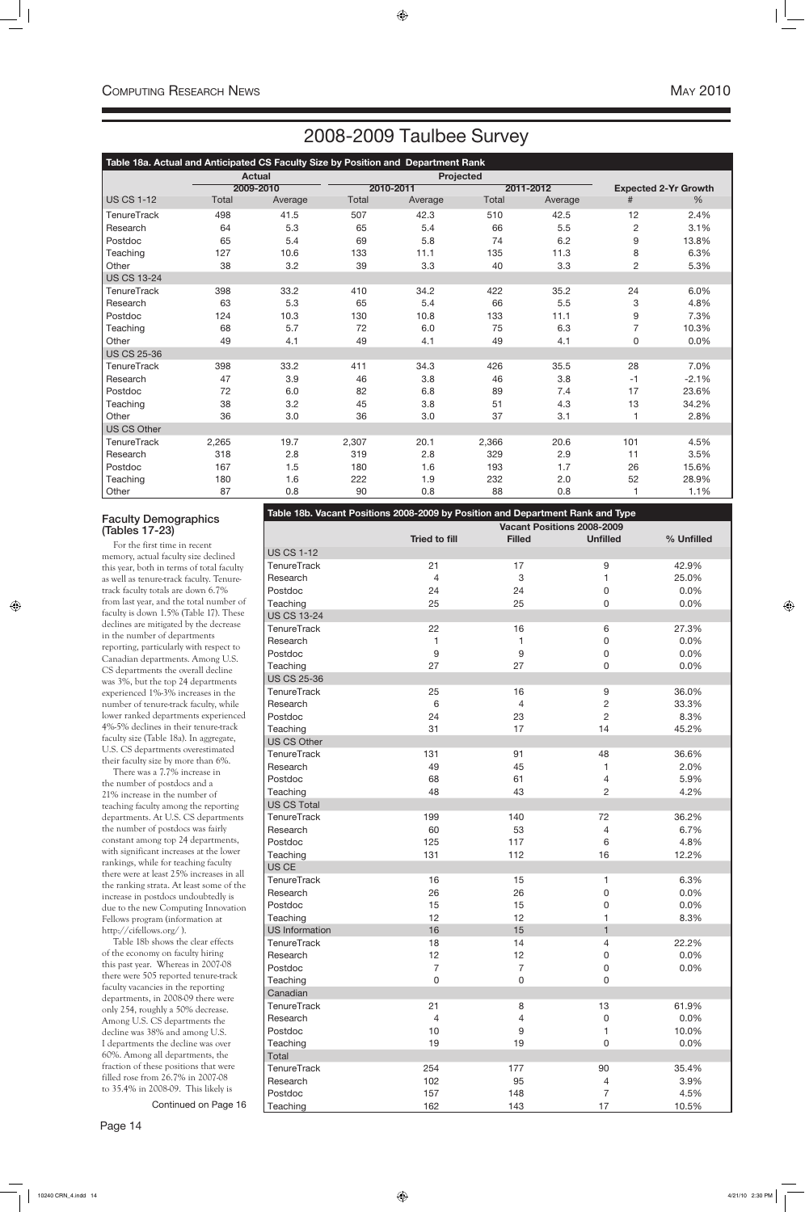# 2008-2009 Taulbee Survey

Continued on Page 16

| Table 18a. Actual and Anticipated CS Faculty Size by Position and Department Rank |       |               |       |                  |       |           |                |                             |  |  |  |  |
|-----------------------------------------------------------------------------------|-------|---------------|-------|------------------|-------|-----------|----------------|-----------------------------|--|--|--|--|
|                                                                                   |       | <b>Actual</b> |       | <b>Projected</b> |       |           |                |                             |  |  |  |  |
|                                                                                   |       | 2009-2010     |       | 2010-2011        |       | 2011-2012 |                | <b>Expected 2-Yr Growth</b> |  |  |  |  |
| <b>US CS 1-12</b>                                                                 | Total | Average       | Total | Average          | Total | Average   | #              | %                           |  |  |  |  |
| <b>TenureTrack</b>                                                                | 498   | 41.5          | 507   | 42.3             | 510   | 42.5      | 12             | 2.4%                        |  |  |  |  |
| Research                                                                          | 64    | 5.3           | 65    | 5.4              | 66    | 5.5       | 2              | 3.1%                        |  |  |  |  |
| Postdoc                                                                           | 65    | 5.4           | 69    | 5.8              | 74    | 6.2       | 9              | 13.8%                       |  |  |  |  |
| Teaching                                                                          | 127   | 10.6          | 133   | 11.1             | 135   | 11.3      | 8              | 6.3%                        |  |  |  |  |
| Other                                                                             | 38    | 3.2           | 39    | 3.3              | 40    | 3.3       | $\overline{c}$ | 5.3%                        |  |  |  |  |
| <b>US CS 13-24</b>                                                                |       |               |       |                  |       |           |                |                             |  |  |  |  |
| <b>TenureTrack</b>                                                                | 398   | 33.2          | 410   | 34.2             | 422   | 35.2      | 24             | 6.0%                        |  |  |  |  |
| Research                                                                          | 63    | 5.3           | 65    | 5.4              | 66    | 5.5       | 3              | 4.8%                        |  |  |  |  |
| Postdoc                                                                           | 124   | 10.3          | 130   | 10.8             | 133   | 11.1      | 9              | 7.3%                        |  |  |  |  |
| Teaching                                                                          | 68    | 5.7           | 72    | 6.0              | 75    | 6.3       | $\overline{7}$ | 10.3%                       |  |  |  |  |
| Other                                                                             | 49    | 4.1           | 49    | 4.1              | 49    | 4.1       | 0              | 0.0%                        |  |  |  |  |
| <b>US CS 25-36</b>                                                                |       |               |       |                  |       |           |                |                             |  |  |  |  |
| <b>TenureTrack</b>                                                                | 398   | 33.2          | 411   | 34.3             | 426   | 35.5      | 28             | 7.0%                        |  |  |  |  |
| Research                                                                          | 47    | 3.9           | 46    | 3.8              | 46    | 3.8       | $-1$           | $-2.1%$                     |  |  |  |  |
| Postdoc                                                                           | 72    | 6.0           | 82    | 6.8              | 89    | 7.4       | 17             | 23.6%                       |  |  |  |  |
| Teaching                                                                          | 38    | 3.2           | 45    | 3.8              | 51    | 4.3       | 13             | 34.2%                       |  |  |  |  |
| Other                                                                             | 36    | 3.0           | 36    | 3.0              | 37    | 3.1       |                | 2.8%                        |  |  |  |  |
| <b>US CS Other</b>                                                                |       |               |       |                  |       |           |                |                             |  |  |  |  |
| <b>TenureTrack</b>                                                                | 2,265 | 19.7          | 2,307 | 20.1             | 2,366 | 20.6      | 101            | 4.5%                        |  |  |  |  |
| Research                                                                          | 318   | 2.8           | 319   | 2.8              | 329   | 2.9       | 11             | 3.5%                        |  |  |  |  |
| Postdoc                                                                           | 167   | 1.5           | 180   | 1.6              | 193   | 1.7       | 26             | 15.6%                       |  |  |  |  |
| Teaching                                                                          | 180   | 1.6           | 222   | 1.9              | 232   | 2.0       | 52             | 28.9%                       |  |  |  |  |
| Other                                                                             | 87    | 0.8           | 90    | 0.8              | 88    | 0.8       |                | 1.1%                        |  |  |  |  |

### Faculty Demographics (Tables 17-23)

For the first time in recent memory, actual faculty size declined this year, both in terms of total faculty as well as tenure-track faculty. Tenuretrack faculty totals are down 6.7% from last year, and the total number of faculty is down 1.5% (Table 17). These declines are mitigated by the decrease in the number of departments reporting, particularly with respect to Canadian departments. Among U.S. CS departments the overall decline was 3%, but the top 24 departments experienced 1%-3% increases in the number of tenure-track faculty, while lower ranked departments experienced 4%-5% declines in their tenure-track faculty size (Table 18a). In aggregate, U.S. CS departments overestimated their faculty size by more than 6%.

There was a 7.7% increase in the number of postdocs and a 21% increase in the number of teaching faculty among the reporting departments. At U.S. CS departments the number of postdocs was fairly constant among top 24 departments, with significant increases at the lower rankings, while for teaching faculty there were at least 25% increases in all the ranking strata. At least some of the increase in postdocs undoubtedly is due to the new Computing Innovation Fellows program (information at http://cifellows.org/ ). Table 18b shows the clear effects of the economy on faculty hiring this past year. Whereas in 2007-08 there were 505 reported tenure-track faculty vacancies in the reporting departments, in 2008-09 there were only 254, roughly a 50% decrease. Among U.S. CS departments the decline was 38% and among U.S. I departments the decline was over 60%. Among all departments, the fraction of these positions that were filled rose from 26.7% in 2007-08 to 35.4% in 2008-09. This likely is

|                    | Table 18b. Vacant Positions 2008-2009 by Position and Department Rank and Type |                |                            |            |
|--------------------|--------------------------------------------------------------------------------|----------------|----------------------------|------------|
|                    |                                                                                |                | Vacant Positions 2008-2009 |            |
|                    | <b>Tried to fill</b>                                                           | <b>Filled</b>  | <b>Unfilled</b>            | % Unfilled |
| <b>US CS 1-12</b>  |                                                                                |                |                            |            |
| <b>TenureTrack</b> | 21                                                                             | 17             | $\boldsymbol{9}$           | 42.9%      |
| Research           | $\overline{4}$                                                                 | 3              | 1                          | 25.0%      |
| Postdoc            | 24                                                                             | 24             | $\boldsymbol{0}$           | 0.0%       |
| Teaching           | 25                                                                             | 25             | 0                          | 0.0%       |
| <b>US CS 13-24</b> |                                                                                |                |                            |            |
| <b>TenureTrack</b> | 22                                                                             | 16             | 6                          | 27.3%      |
| Research           | 1                                                                              | 1              | $\boldsymbol{0}$           | 0.0%       |
| Postdoc            | $\boldsymbol{9}$                                                               | 9              | $\boldsymbol{0}$           | 0.0%       |
| Teaching           | 27                                                                             | 27             | 0                          | 0.0%       |
| <b>US CS 25-36</b> |                                                                                |                |                            |            |
| <b>TenureTrack</b> | 25                                                                             | 16             | $\boldsymbol{9}$           | 36.0%      |
| Research           | $6\,$                                                                          | 4              | $\overline{c}$             | 33.3%      |
| Postdoc            | 24                                                                             | 23             | $\overline{c}$             | 8.3%       |
| Teaching           | 31                                                                             | 17             | 14                         | 45.2%      |
| US CS Other        |                                                                                |                |                            |            |
| <b>TenureTrack</b> | 131                                                                            | 91             | 48                         | 36.6%      |
| Research           | 49                                                                             | 45             | 1                          | 2.0%       |
| Postdoc            | 68                                                                             | 61             | 4                          | 5.9%       |
| Teaching           | 48                                                                             | 43             | $\overline{2}$             | 4.2%       |
| <b>US CS Total</b> |                                                                                |                |                            |            |
| <b>TenureTrack</b> | 199                                                                            | 140            | 72                         | 36.2%      |
| Research           | 60                                                                             | 53             | 4                          | 6.7%       |
| Postdoc            | 125                                                                            | 117            | 6                          | 4.8%       |
| Teaching           | 131                                                                            | 112            | 16                         | 12.2%      |
| US CE              |                                                                                |                |                            |            |
| <b>TenureTrack</b> | 16                                                                             | 15             | 1                          | 6.3%       |
| Research           | 26                                                                             | 26             | 0                          | 0.0%       |
| Postdoc            | 15                                                                             | 15             | 0                          | 0.0%       |
| Teaching           | 12                                                                             | 12             | 1                          | 8.3%       |
| US Information     | 16                                                                             | 15             | $\mathbf{1}$               |            |
| <b>TenureTrack</b> | 18                                                                             | 14             | 4                          | 22.2%      |
| Research           | 12                                                                             | 12             | 0                          | 0.0%       |
| Postdoc            | $\overline{7}$                                                                 | $\overline{7}$ | 0                          | 0.0%       |
| Teaching           | 0                                                                              | 0              | 0                          |            |
| Canadian           |                                                                                |                |                            |            |
| <b>TenureTrack</b> | 21                                                                             | 8              | 13                         | 61.9%      |
| Research           | $\overline{4}$                                                                 | 4              | 0                          | 0.0%       |
| Postdoc            | 10                                                                             | 9              | 1                          | 10.0%      |
| Teaching           | 19                                                                             | 19             | 0                          | 0.0%       |
| Total              |                                                                                |                |                            |            |
| <b>TenureTrack</b> | 254                                                                            | 177            | 90                         | 35.4%      |
| Research           | 102                                                                            | 95             | 4                          | 3.9%       |
| Postdoc            | 157                                                                            | 148            | $\overline{7}$             | 4.5%       |
| Teaching           | 162                                                                            | 143            | 17                         | 10.5%      |
|                    |                                                                                |                |                            |            |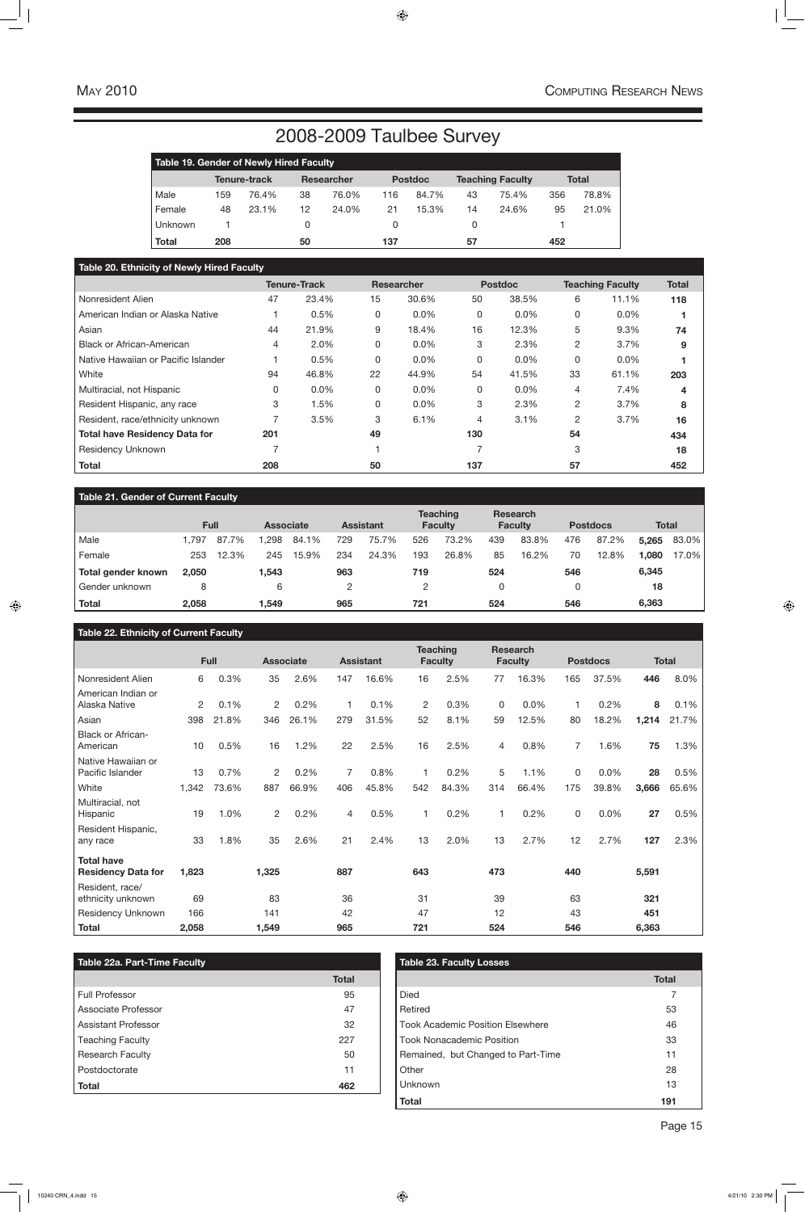# 2008-2009 Taulbee Survey

### **Table 21. Gender of Current Faculty**

|                    |       | <b>Full</b> | <b>Associate</b> |       |     | <b>Assistant</b> |     | <b>Teaching</b><br><b>Faculty</b> |     | <b>Research</b><br><b>Faculty</b> |     | <b>Postdocs</b> | <b>Total</b> |       |
|--------------------|-------|-------------|------------------|-------|-----|------------------|-----|-----------------------------------|-----|-----------------------------------|-----|-----------------|--------------|-------|
| Male               | .797  | 87.7%       | .298             | 84.1% | 729 | 75.7%            | 526 | 73.2%                             | 439 | 83.8%                             | 476 | 87.2%           | 5,265        | 83.0% |
| Female             | 253   | 12.3%       | 245              | 15.9% | 234 | 24.3%            | 193 | 26.8%                             | 85  | 16.2%                             | 70  | 12.8%           | 1,080        | 17.0% |
| Total gender known | 2,050 |             | 1,543            |       | 963 |                  | 719 |                                   | 524 |                                   | 546 |                 | 6,345        |       |
| Gender unknown     | 8     |             | 6                |       |     |                  |     |                                   |     |                                   |     |                 | 18           |       |
| Total              | 2,058 |             | 1,549            |       | 965 |                  | 721 |                                   | 524 |                                   | 546 |                 | 6,363        |       |

### **Table 22. Ethnicity of Current Faculty**

|                                                |       | Full  |                | <b>Associate</b> |                | <b>Assistant</b> |              | <b>Teaching</b><br><b>Faculty</b> |              | <b>Research</b><br><b>Faculty</b> |                | <b>Postdocs</b> |       | <b>Total</b> |
|------------------------------------------------|-------|-------|----------------|------------------|----------------|------------------|--------------|-----------------------------------|--------------|-----------------------------------|----------------|-----------------|-------|--------------|
| Nonresident Alien                              | 6     | 0.3%  | 35             | 2.6%             | 147            | 16.6%            | 16           | 2.5%                              | 77           | 16.3%                             | 165            | 37.5%           | 446   | 8.0%         |
| American Indian or<br>Alaska Native            | 2     | 0.1%  | $\overline{2}$ | 0.2%             | $\overline{1}$ | 0.1%             | $\mathbf{2}$ | 0.3%                              | $\mathbf{0}$ | 0.0%                              |                | 0.2%            | 8     | 0.1%         |
| Asian                                          | 398   | 21.8% | 346            | 26.1%            | 279            | 31.5%            | 52           | 8.1%                              | 59           | 12.5%                             | 80             | 18.2%           | 1,214 | 21.7%        |
| Black or African-<br>American                  | 10    | 0.5%  | 16             | 1.2%             | 22             | 2.5%             | 16           | 2.5%                              | 4            | 0.8%                              | $\overline{7}$ | 1.6%            | 75    | 1.3%         |
| Native Hawaiian or<br>Pacific Islander         | 13    | 0.7%  | $\overline{2}$ | 0.2%             | $\overline{7}$ | 0.8%             | 1            | 0.2%                              | 5            | 1.1%                              | $\Omega$       | 0.0%            | 28    | 0.5%         |
| White                                          | 1,342 | 73.6% | 887            | 66.9%            | 406            | 45.8%            | 542          | 84.3%                             | 314          | 66.4%                             | 175            | 39.8%           | 3,666 | 65.6%        |
| Multiracial, not<br>Hispanic                   | 19    | 1.0%  | $\overline{2}$ | 0.2%             | $\overline{4}$ | 0.5%             | 1            | 0.2%                              | 1            | 0.2%                              | 0              | 0.0%            | 27    | 0.5%         |
| Resident Hispanic,<br>any race                 | 33    | 1.8%  | 35             | 2.6%             | 21             | 2.4%             | 13           | 2.0%                              | 13           | 2.7%                              | 12             | 2.7%            | 127   | 2.3%         |
| <b>Total have</b><br><b>Residency Data for</b> | 1,823 |       | 1,325          |                  | 887            |                  | 643          |                                   | 473          |                                   | 440            |                 | 5,591 |              |
| Resident, race/<br>ethnicity unknown           | 69    |       | 83             |                  | 36             |                  | 31           |                                   | 39           |                                   | 63             |                 | 321   |              |
| <b>Residency Unknown</b>                       | 166   |       | 141            |                  | 42             |                  | 47           |                                   | 12           |                                   | 43             |                 | 451   |              |
| <b>Total</b>                                   | 2,058 |       | 1,549          |                  | 965            |                  | 721          |                                   | 524          |                                   | 546            |                 | 6,363 |              |

| <b>Table 22a. Part-Time Faculty</b> |              | Table 23. Faculty Losses                |
|-------------------------------------|--------------|-----------------------------------------|
|                                     | <b>Total</b> |                                         |
| Full Professor                      | 95           | <b>Died</b>                             |
| Associate Professor                 | 47           | Retired                                 |
| Assistant Professor                 | 32           | <b>Took Academic Position Elsewhere</b> |
| <b>Teaching Faculty</b>             | 227          | <b>Took Nonacademic Position</b>        |
| <b>Research Faculty</b>             | 50           | Remained, but Changed to Part-Time      |
| Postdoctorate                       | 11           | Other                                   |
| <b>Total</b>                        | 462          | <b>Unknown</b>                          |

**Total 191**

|              | <b>Table 19. Gender of Newly Hired Faculty</b> |              |    |                   |     |                |    |                         |     |              |  |  |  |  |
|--------------|------------------------------------------------|--------------|----|-------------------|-----|----------------|----|-------------------------|-----|--------------|--|--|--|--|
|              |                                                | Tenure-track |    | <b>Researcher</b> |     | <b>Postdoc</b> |    | <b>Teaching Faculty</b> |     | <b>Total</b> |  |  |  |  |
| Male         | 159                                            | 76.4%        | 38 | 76.0%             | 116 | 84.7%          | 43 | 75.4%                   | 356 | 78.8%        |  |  |  |  |
| Female       | 48                                             | 23.1%        | 12 | 24.0%             | 21  | 15.3%          | 14 | 24.6%                   | 95  | 21.0%        |  |  |  |  |
| Unknown      |                                                |              |    |                   |     |                | Ü  |                         |     |              |  |  |  |  |
| <b>Total</b> | 208                                            |              | 50 |                   | 137 |                | 57 |                         | 452 |              |  |  |  |  |

### **Table 20. Ethnicity of Newly Hired Faculty**

|                                      |     | <b>Tenure-Track</b> |    | <b>Researcher</b> |     | <b>Postdoc</b> |              | <b>Teaching Faculty</b> | <b>Total</b> |
|--------------------------------------|-----|---------------------|----|-------------------|-----|----------------|--------------|-------------------------|--------------|
| Nonresident Alien                    | 47  | 23.4%               | 15 | 30.6%             | 50  | 38.5%          | 6            | 11.1%                   | 118          |
| American Indian or Alaska Native     |     | 0.5%                | 0  | $0.0\%$           | 0   | 0.0%           | $\Omega$     | $0.0\%$                 |              |
| Asian                                | 44  | 21.9%               | 9  | 18.4%             | 16  | 12.3%          | 5            | 9.3%                    | 74           |
| <b>Black or African-American</b>     | 4   | 2.0%                | 0  | $0.0\%$           | 3   | 2.3%           | 2            | 3.7%                    | 9            |
| Native Hawaiian or Pacific Islander  |     | 0.5%                | 0  | $0.0\%$           | 0   | 0.0%           | $\mathbf{0}$ | $0.0\%$                 |              |
| White                                | 94  | 46.8%               | 22 | 44.9%             | 54  | 41.5%          | 33           | 61.1%                   | 203          |
| Multiracial, not Hispanic            |     | 0.0%                | 0  | 0.0%              | 0   | 0.0%           | 4            | 7.4%                    | 4            |
| Resident Hispanic, any race          | 3   | 1.5%                | 0  | $0.0\%$           | 3   | 2.3%           | 2            | 3.7%                    | 8            |
| Resident, race/ethnicity unknown     |     | 3.5%                | 3  | 6.1%              | 4   | 3.1%           | 2            | 3.7%                    | 16           |
| <b>Total have Residency Data for</b> | 201 |                     | 49 |                   | 130 |                | 54           |                         | 434          |
| <b>Residency Unknown</b>             |     |                     |    |                   |     |                | 3            |                         | 18           |
| <b>Total</b>                         | 208 |                     | 50 |                   | 137 |                | 57           |                         | 452          |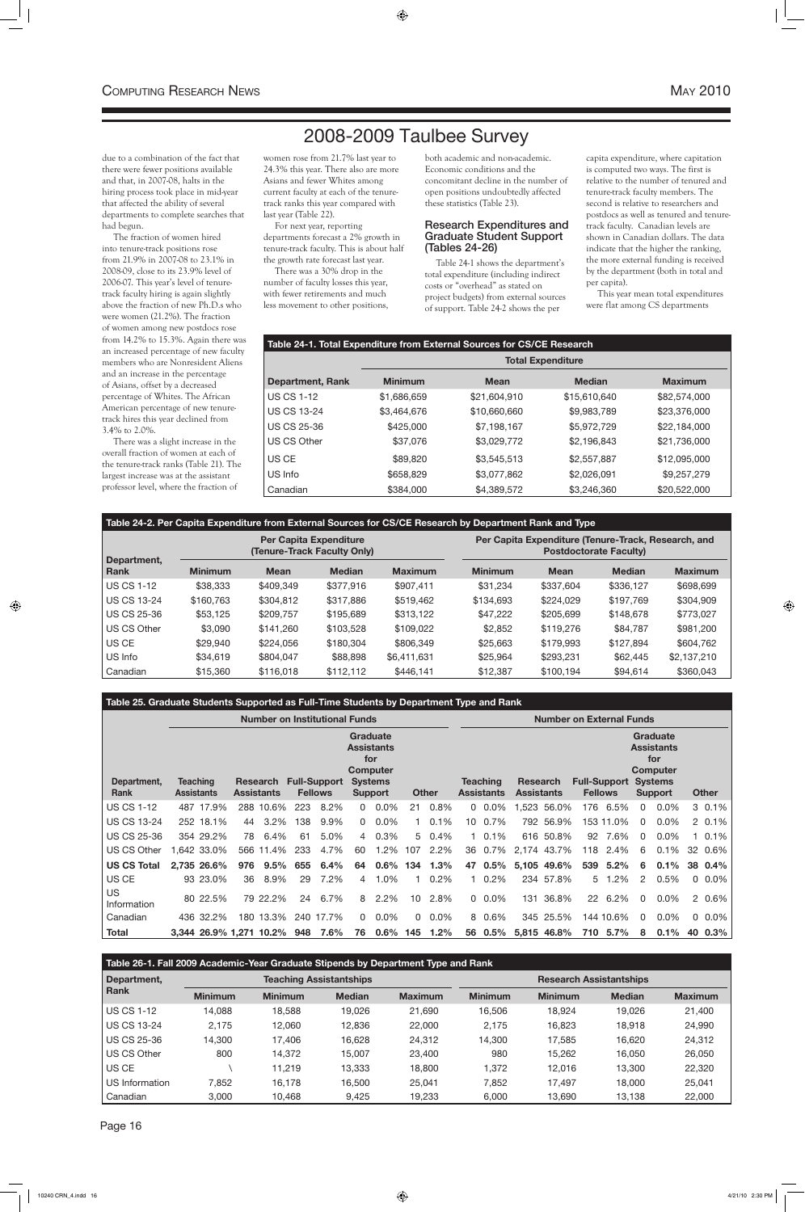## 2008-2009 Taulbee Survey

### **Table 24-1. Total Expenditure from External Sources for CS/CE Research**

|                         | <b>Total Expenditure</b> |              |               |                |  |  |  |  |  |
|-------------------------|--------------------------|--------------|---------------|----------------|--|--|--|--|--|
| <b>Department, Rank</b> | <b>Minimum</b>           | <b>Mean</b>  | <b>Median</b> | <b>Maximum</b> |  |  |  |  |  |
| <b>US CS 1-12</b>       | \$1,686,659              | \$21,604,910 | \$15,610,640  | \$82,574,000   |  |  |  |  |  |
| <b>US CS 13-24</b>      | \$3,464,676              | \$10,660,660 | \$9,983,789   | \$23,376,000   |  |  |  |  |  |
| <b>US CS 25-36</b>      | \$425,000                | \$7,198,167  | \$5,972,729   | \$22,184,000   |  |  |  |  |  |
| <b>US CS Other</b>      | \$37,076                 | \$3,029,772  | \$2,196,843   | \$21,736,000   |  |  |  |  |  |
| US CE                   | \$89,820                 | \$3,545,513  | \$2,557,887   | \$12,095,000   |  |  |  |  |  |
| US Info                 | \$658,829                | \$3,077,862  | \$2,026,091   | \$9,257,279    |  |  |  |  |  |
| Canadian                | \$384,000                | \$4,389,572  | \$3,246,360   | \$20,522,000   |  |  |  |  |  |

### **Table 24-2. Per Capita Expenditure from External Sources for CS/CE Research by Department Rank and Type**

|                            |                |             | <b>Per Capita Expenditure</b><br>(Tenure-Track Faculty Only) |                |                | Per Capita Expenditure (Tenure-Track, Research, and<br><b>Postdoctorate Faculty)</b> |               |                |  |  |  |  |  |
|----------------------------|----------------|-------------|--------------------------------------------------------------|----------------|----------------|--------------------------------------------------------------------------------------|---------------|----------------|--|--|--|--|--|
| Department,<br><b>Rank</b> | <b>Minimum</b> | <b>Mean</b> | <b>Median</b>                                                | <b>Maximum</b> | <b>Minimum</b> | <b>Mean</b>                                                                          | <b>Median</b> | <b>Maximum</b> |  |  |  |  |  |
| <b>US CS 1-12</b>          | \$38,333       | \$409,349   | \$377,916                                                    | \$907,411      | \$31,234       | \$337,604                                                                            | \$336,127     | \$698,699      |  |  |  |  |  |
| <b>US CS 13-24</b>         | \$160,763      | \$304,812   | \$317,886                                                    | \$519,462      | \$134,693      | \$224,029                                                                            | \$197,769     | \$304,909      |  |  |  |  |  |
| <b>US CS 25-36</b>         | \$53,125       | \$209,757   | \$195,689                                                    | \$313,122      | \$47,222       | \$205,699                                                                            | \$148,678     | \$773,027      |  |  |  |  |  |
| <b>US CS Other</b>         | \$3,090        | \$141.260   | \$103,528                                                    | \$109,022      | \$2,852        | \$119,276                                                                            | \$84,787      | \$981,200      |  |  |  |  |  |
| US CE                      | \$29,940       | \$224,056   | \$180,304                                                    | \$806,349      | \$25,663       | \$179,993                                                                            | \$127,894     | \$604,762      |  |  |  |  |  |
| US Info                    | \$34,619       | \$804,047   | \$88,898                                                     | \$6,411,631    | \$25,964       | \$293,231                                                                            | \$62,445      | \$2,137,210    |  |  |  |  |  |
| Canadian                   | \$15,360       | \$116,018   | \$112,112                                                    | \$446,141      | \$12,387       | \$100,194                                                                            | \$94,614      | \$360,043      |  |  |  |  |  |

### **Table 25. Graduate Students Supported as Full-Time Students by Department Type and Rank**

|                     |                   | <b>Number on Institutional Funds</b> |     |                               |                                       |                                                                                                             |          |             |                 |                                      |                               |             | <b>Number on External Funds</b> |                                       |                                                                                                    |           |          |              |    |          |
|---------------------|-------------------|--------------------------------------|-----|-------------------------------|---------------------------------------|-------------------------------------------------------------------------------------------------------------|----------|-------------|-----------------|--------------------------------------|-------------------------------|-------------|---------------------------------|---------------------------------------|----------------------------------------------------------------------------------------------------|-----------|----------|--------------|----|----------|
| Department,<br>Rank | <b>Assistants</b> | <b>Teaching</b>                      |     | Research<br><b>Assistants</b> | <b>Full-Support</b><br><b>Fellows</b> | <b>Graduate</b><br><b>Assistants</b><br>for<br>Computer<br><b>Systems</b><br><b>Other</b><br><b>Support</b> |          |             |                 | <b>Teaching</b><br><b>Assistants</b> | Research<br><b>Assistants</b> |             |                                 | <b>Full-Support</b><br><b>Fellows</b> | <b>Graduate</b><br><b>Assistants</b><br>for<br><b>Computer</b><br><b>Systems</b><br><b>Support</b> |           |          | <b>Other</b> |    |          |
| <b>US CS 1-12</b>   |                   | 487 17.9%                            |     | 288 10.6%                     | 223                                   | 8.2%                                                                                                        | $\Omega$ | $0.0\%$     | 21              | 0.8%                                 |                               | $0\ 0.0\%$  |                                 | 1,523 56.0%                           | 176                                                                                                | 6.5%      | $\Omega$ | $0.0\%$      |    | $30.1\%$ |
| US CS 13-24         |                   | 252 18.1%                            | 44  | 3.2%                          | 138                                   | 9.9%                                                                                                        | $\Omega$ | 0.0%        |                 | $10.1\%$                             | 10                            | 0.7%        |                                 | 792 56.9%                             |                                                                                                    | 153 11.0% | 0        | $0.0\%$      |    | $20.1\%$ |
| US CS 25-36         |                   | 354 29.2%                            | 78  | 6.4%                          | 61                                    | 5.0%                                                                                                        | 4        | 0.3%        | 5               | $0.4\%$                              |                               | $1 \t0.1\%$ |                                 | 616 50.8%                             | 92                                                                                                 | 7.6%      | 0        | $0.0\%$      |    | 1 0.1%   |
| US CS Other         |                   | .642 33.0%                           |     | 566 11.4%                     | 233                                   | 4.7%                                                                                                        | 60       | 1.2%        | 107             | 2.2%                                 |                               | 36 0.7%     |                                 | 2.174 43.7%                           | 118                                                                                                | 2.4%      | 6        | 0.1%         |    | 32 0.6%  |
| <b>US CS Total</b>  |                   | 2,735 26.6%                          | 976 | $9.5\%$                       | 655                                   | 6.4%                                                                                                        | 64       | $0.6\%$     | 134             | 1.3%                                 | 47                            | $0.5\%$     |                                 | 5,105 49.6%                           | 539                                                                                                | 5.2%      | 6        | 0.1%         |    | 38 0.4%  |
| US CE               |                   | 93 23.0%                             | 36  | 8.9%                          | 29                                    | 7.2%                                                                                                        | 4        | 1.0%        |                 | 0.2%                                 |                               | 0.2%        |                                 | 234 57.8%                             | 5                                                                                                  | 1.2%      | 2        | 0.5%         |    | $0.0\%$  |
| US<br>Information   |                   | 80 22.5%                             |     | 79 22.2%                      | 24                                    | 6.7%                                                                                                        | 8        | 2.2%        | 10 <sup>1</sup> | 2.8%                                 |                               | $0.0\%$     | 131                             | 36.8%                                 | 22                                                                                                 | 6.2%      | $\Omega$ | $0.0\%$      |    | 2 0.6%   |
| Canadian            |                   | 436 32.2%                            |     | 180 13.3%                     |                                       | 240 17.7%                                                                                                   | $\Omega$ | $0.0\%$     | $\Omega$        | $0.0\%$                              |                               | 8 0.6%      |                                 | 345 25.5%                             |                                                                                                    | 144 10.6% | $\Omega$ | $0.0\%$      |    | $0.0\%$  |
| <b>Total</b>        |                   |                                      |     | 3,344 26.9% 1,271 10.2%       | 948                                   | 7.6%                                                                                                        | 76       | $0.6\%$ 145 |                 | 1.2%                                 |                               | 56 0.5%     |                                 | 5,815 46.8%                           | 710                                                                                                | 5.7%      | 8        | 0.1%         | 40 | 0.3%     |

| Table 26-1. Fall 2009 Academic-Year Graduate Stipends by Department Type and Rank |  |  |
|-----------------------------------------------------------------------------------|--|--|
|                                                                                   |  |  |

| Department,        |                | <b>Teaching Assistantships</b> |               |                | <b>Research Assistantships</b> |                |               |                |  |  |  |
|--------------------|----------------|--------------------------------|---------------|----------------|--------------------------------|----------------|---------------|----------------|--|--|--|
| <b>Rank</b>        | <b>Minimum</b> | <b>Minimum</b>                 | <b>Median</b> | <b>Maximum</b> | <b>Minimum</b>                 | <b>Minimum</b> | <b>Median</b> | <b>Maximum</b> |  |  |  |
| <b>US CS 1-12</b>  | 14,088         | 18,588                         | 19,026        | 21,690         | 16,506                         | 18,924         | 19,026        | 21.400         |  |  |  |
| <b>US CS 13-24</b> | 2,175          | 12.060                         | 12.836        | 22,000         | 2.175                          | 16,823         | 18.918        | 24,990         |  |  |  |
| <b>US CS 25-36</b> | 14,300         | 17.406                         | 16.628        | 24,312         | 14,300                         | 17,585         | 16.620        | 24,312         |  |  |  |
| US CS Other        | 800            | 14,372                         | 15.007        | 23,400         | 980                            | 15,262         | 16.050        | 26,050         |  |  |  |
| US CE              |                | 11.219                         | 13,333        | 18,800         | 1,372                          | 12,016         | 13,300        | 22,320         |  |  |  |
| US Information     | 7,852          | 16,178                         | 16.500        | 25.041         | 7,852                          | 17.497         | 18,000        | 25,041         |  |  |  |
| Canadian           | 3,000          | 10.468                         | 9.425         | 19.233         | 6.000                          | 13.690         | 13.138        | 22,000         |  |  |  |

due to a combination of the fact that there were fewer positions available and that, in 2007-08, halts in the hiring process took place in mid-year that affected the ability of several departments to complete searches that had begun.

The fraction of women hired into tenure-track positions rose from 21.9% in 2007-08 to 23.1% in 2008-09, close to its 23.9% level of 2006-07. This year's level of tenuretrack faculty hiring is again slightly above the fraction of new Ph.D.s who were women (21.2%). The fraction of women among new postdocs rose from 14.2% to 15.3%. Again there was an increased percentage of new faculty members who are Nonresident Aliens and an increase in the percentage of Asians, offset by a decreased percentage of Whites. The African American percentage of new tenuretrack hires this year declined from 3.4% to 2.0%.

There was a slight increase in the overall fraction of women at each of the tenure-track ranks (Table 21). The largest increase was at the assistant professor level, where the fraction of

women rose from 21.7% last year to 24.3% this year. There also are more Asians and fewer Whites among current faculty at each of the tenuretrack ranks this year compared with last year (Table 22).

For next year, reporting departments forecast a 2% growth in tenure-track faculty. This is about half the growth rate forecast last year.

There was a 30% drop in the number of faculty losses this year, with fewer retirements and much less movement to other positions,

both academic and non-academic. Economic conditions and the concomitant decline in the number of open positions undoubtedly affected these statistics (Table 23).

### Research Expenditures and Graduate Student Support (Tables 24-26)

Table 24-1 shows the department's total expenditure (including indirect costs or "overhead" as stated on project budgets) from external sources of support. Table 24-2 shows the per

capita expenditure, where capitation is computed two ways. The first is relative to the number of tenured and tenure-track faculty members. The second is relative to researchers and postdocs as well as tenured and tenuretrack faculty. Canadian levels are shown in Canadian dollars. The data indicate that the higher the ranking, the more external funding is received by the department (both in total and per capita).

This year mean total expenditures were flat among CS departments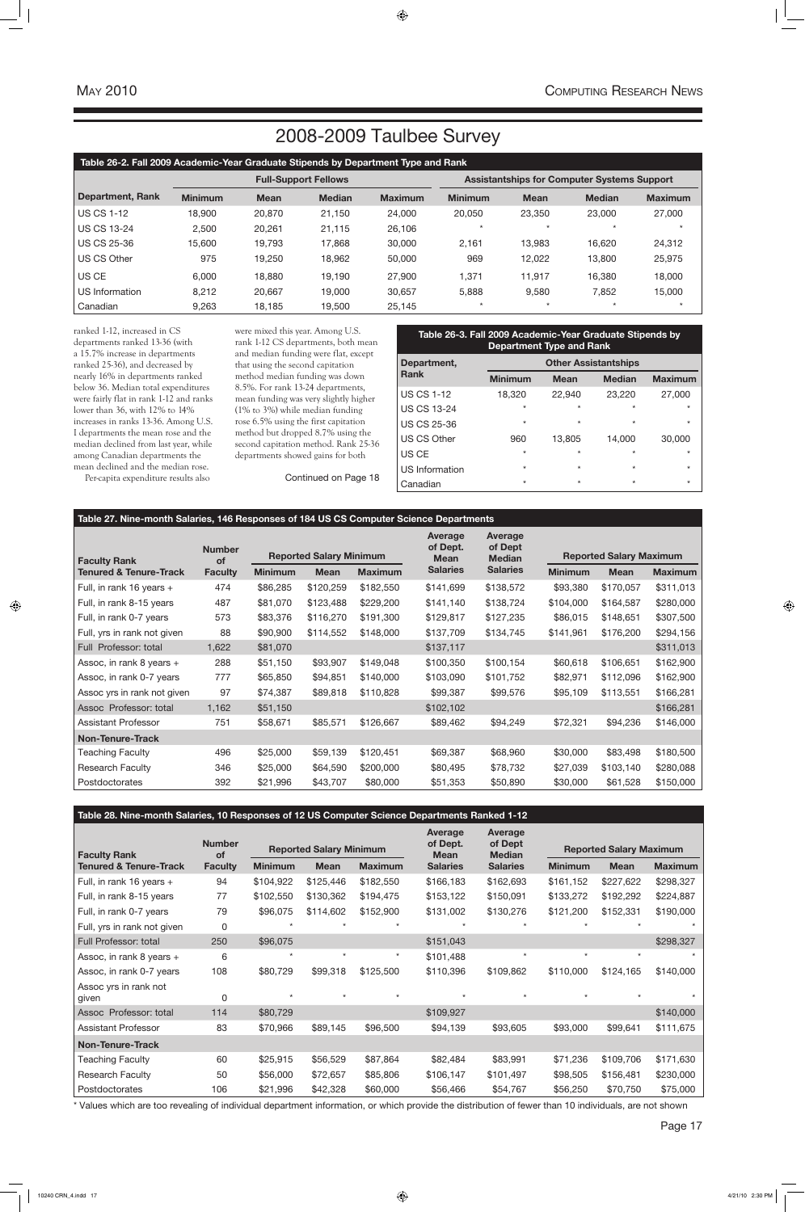### **Table 27. Nine-month Salaries, 146 Responses of 184 US CS Computer Science Departments**

| <b>Faculty Rank</b>         | <b>Number</b><br><b>of</b> |                |             | <b>Reported Salary Minimum</b> |                 | Average<br>of Dept<br><b>Median</b> |                | <b>Reported Salary Maximum</b> |                |
|-----------------------------|----------------------------|----------------|-------------|--------------------------------|-----------------|-------------------------------------|----------------|--------------------------------|----------------|
| Tenured & Tenure-Track      | <b>Faculty</b>             | <b>Minimum</b> | <b>Mean</b> | <b>Maximum</b>                 | <b>Salaries</b> | <b>Salaries</b>                     | <b>Minimum</b> | <b>Mean</b>                    | <b>Maximum</b> |
| Full, in rank 16 years +    | 474                        | \$86,285       | \$120,259   | \$182,550                      | \$141,699       | \$138,572                           | \$93,380       | \$170,057                      | \$311,013      |
| Full, in rank 8-15 years    | 487                        | \$81,070       | \$123,488   | \$229,200                      | \$141,140       | \$138,724                           | \$104,000      | \$164,587                      | \$280,000      |
| Full, in rank 0-7 years     | 573                        | \$83,376       | \$116,270   | \$191,300                      | \$129,817       | \$127,235                           | \$86,015       | \$148,651                      | \$307,500      |
| Full, yrs in rank not given | 88                         | \$90,900       | \$114,552   | \$148,000                      | \$137,709       | \$134,745                           | \$141,961      | \$176,200                      | \$294,156      |
| Full Professor: total       | 1,622                      | \$81,070       |             |                                | \$137,117       |                                     |                |                                | \$311,013      |
| Assoc, in rank 8 years +    | 288                        | \$51,150       | \$93,907    | \$149,048                      | \$100,350       | \$100,154                           | \$60,618       | \$106,651                      | \$162,900      |
| Assoc, in rank 0-7 years    | 777                        | \$65,850       | \$94,851    | \$140,000                      | \$103,090       | \$101,752                           | \$82,971       | \$112,096                      | \$162,900      |
| Assoc yrs in rank not given | 97                         | \$74,387       | \$89,818    | \$110,828                      | \$99,387        | \$99,576                            | \$95,109       | \$113,551                      | \$166,281      |
| Assoc Professor: total      | 1,162                      | \$51,150       |             |                                | \$102,102       |                                     |                |                                | \$166,281      |
| l Assistant Professor       | 751                        | \$58,671       | \$85,571    | \$126,667                      | \$89,462        | \$94,249                            | \$72,321       | \$94,236                       | \$146,000      |
| Non-Tenure-Track            |                            |                |             |                                |                 |                                     |                |                                |                |
| Teaching Faculty            | 496                        | \$25,000       | \$59,139    | \$120,451                      | \$69,387        | \$68,960                            | \$30,000       | \$83,498                       | \$180,500      |
| <b>Research Faculty</b>     | 346                        | \$25,000       | \$64,590    | \$200,000                      | \$80,495        | \$78,732                            | \$27,039       | \$103,140                      | \$280,088      |
| Postdoctorates              | 392                        | \$21,996       | \$43,707    | \$80,000                       | \$51,353        | \$50,890                            | \$30,000       | \$61,528                       | \$150,000      |

### **Table 28. Nine-month Salaries, 10 Responses of 12 US Computer Science Departments Ranked 1-12**

|                                                          | <b>Number</b>        | <b>Reported Salary Minimum</b> |             | Average<br>of Dept.<br><b>Mean</b> | <b>Average</b><br>of Dept<br><b>Median</b> |                 | <b>Reported Salary Maximum</b> |             |                |  |
|----------------------------------------------------------|----------------------|--------------------------------|-------------|------------------------------------|--------------------------------------------|-----------------|--------------------------------|-------------|----------------|--|
| <b>Faculty Rank</b><br><b>Tenured &amp; Tenure-Track</b> | of<br><b>Faculty</b> | <b>Minimum</b>                 | <b>Mean</b> | <b>Maximum</b>                     | <b>Salaries</b>                            | <b>Salaries</b> | <b>Minimum</b>                 | <b>Mean</b> | <b>Maximum</b> |  |
| Full, in rank 16 years $+$                               | 94                   | \$104,922                      | \$125,446   | \$182,550                          | \$166,183                                  | \$162,693       | \$161,152                      | \$227,622   | \$298,327      |  |
| Full, in rank 8-15 years                                 | 77                   | \$102,550                      | \$130,362   | \$194,475                          | \$153,122                                  | \$150,091       | \$133,272                      | \$192,292   | \$224,887      |  |
| Full, in rank 0-7 years                                  | 79                   | \$96,075                       | \$114,602   | \$152,900                          | \$131,002                                  | \$130,276       | \$121,200                      | \$152,331   | \$190,000      |  |
| Full, yrs in rank not given                              | $\mathbf{0}$         |                                |             |                                    |                                            |                 |                                |             |                |  |
| Full Professor: total                                    | 250                  | \$96,075                       |             |                                    | \$151,043                                  |                 |                                |             | \$298,327      |  |
| Assoc, in rank 8 years +                                 | 6                    | $\star$                        | $\star$     | $\star$                            | \$101,488                                  | $\star$         | $\star$                        | $\star$     |                |  |
| Assoc, in rank 0-7 years                                 | 108                  | \$80,729                       | \$99,318    | \$125,500                          | \$110,396                                  | \$109,862       | \$110,000                      | \$124,165   | \$140,000      |  |
| Assoc yrs in rank not<br>given                           | 0                    |                                |             | $\star$                            |                                            | $\star$         |                                |             |                |  |
| Assoc Professor: total                                   | 114                  | \$80,729                       |             |                                    | \$109,927                                  |                 |                                |             | \$140,000      |  |
| <b>Assistant Professor</b>                               | 83                   | \$70,966                       | \$89,145    | \$96,500                           | \$94,139                                   | \$93,605        | \$93,000                       | \$99,641    | \$111,675      |  |
| <b>Non-Tenure-Track</b>                                  |                      |                                |             |                                    |                                            |                 |                                |             |                |  |
| <b>Teaching Faculty</b>                                  | 60                   | \$25,915                       | \$56,529    | \$87,864                           | \$82,484                                   | \$83,991        | \$71,236                       | \$109,706   | \$171,630      |  |
| <b>Research Faculty</b>                                  | 50                   | \$56,000                       | \$72,657    | \$85,806                           | \$106,147                                  | \$101,497       | \$98,505                       | \$156,481   | \$230,000      |  |
| Postdoctorates                                           | 106                  | \$21,996                       | \$42,328    | \$60,000                           | \$56,466                                   | \$54,767        | \$56,250                       | \$70,750    | \$75,000       |  |

\* Values which are too revealing of individual department information, or which provide the distribution of fewer than 10 individuals, are not shown

ranked 1-12, increased in CS departments ranked 13-36 (with a 15.7% increase in departments ranked 25-36), and decreased by nearly 16% in departments ranked below 36. Median total expenditures were fairly flat in rank 1-12 and ranks lower than 36, with 12% to 14% increases in ranks 13-36. Among U.S. I departments the mean rose and the median declined from last year, while among Canadian departments the mean declined and the median rose.

Per-capita expenditure results also

were mixed this year. Among U.S. rank 1-12 CS departments, both mean and median funding were flat, except that using the second capitation method median funding was down 8.5%. For rank 13-24 departments, mean funding was very slightly higher (1% to 3%) while median funding rose 6.5% using the first capitation method but dropped 8.7% using the second capitation method. Rank 25-36 departments showed gains for both

| Table 26-2. Fall 2009 Academic-Year Graduate Stipends by Department Type and Rank |                |             |                             |                |                                                    |             |               |                |  |  |  |
|-----------------------------------------------------------------------------------|----------------|-------------|-----------------------------|----------------|----------------------------------------------------|-------------|---------------|----------------|--|--|--|
|                                                                                   |                |             | <b>Full-Support Fellows</b> |                | <b>Assistantships for Computer Systems Support</b> |             |               |                |  |  |  |
| Department, Rank                                                                  | <b>Minimum</b> | <b>Mean</b> | <b>Median</b>               | <b>Maximum</b> | <b>Minimum</b>                                     | <b>Mean</b> | <b>Median</b> | <b>Maximum</b> |  |  |  |
| <b>LUS CS 1-12</b>                                                                | 18,900         | 20,870      | 21,150                      | 24,000         | 20,050                                             | 23,350      | 23,000        | 27,000         |  |  |  |
| <b>US CS 13-24</b>                                                                | 2,500          | 20,261      | 21,115                      | 26,106         | $\star$                                            | $\star$     | $\star$       |                |  |  |  |
| US CS 25-36                                                                       | 15,600         | 19,793      | 17,868                      | 30,000         | 2,161                                              | 13,983      | 16,620        | 24,312         |  |  |  |
| US CS Other                                                                       | 975            | 19,250      | 18,962                      | 50,000         | 969                                                | 12,022      | 13,800        | 25,975         |  |  |  |
| US CE                                                                             | 6,000          | 18,880      | 19,190                      | 27,900         | 1,371                                              | 11,917      | 16,380        | 18,000         |  |  |  |
| US Information                                                                    | 8,212          | 20,667      | 19,000                      | 30,657         | 5,888                                              | 9,580       | 7,852         | 15,000         |  |  |  |
| Canadian                                                                          | 9,263          | 18,185      | 19,500                      | 25,145         | $\star$                                            | $\star$     | $\star$       | $\star$        |  |  |  |

| Table 26-3. Fall 2009 Academic-Year Graduate Stipends by<br><b>Department Type and Rank</b> |                             |             |               |                |  |  |  |  |  |  |
|---------------------------------------------------------------------------------------------|-----------------------------|-------------|---------------|----------------|--|--|--|--|--|--|
| Department,                                                                                 | <b>Other Assistantships</b> |             |               |                |  |  |  |  |  |  |
| <b>Rank</b>                                                                                 | <b>Minimum</b>              | <b>Mean</b> | <b>Median</b> | <b>Maximum</b> |  |  |  |  |  |  |
| <b>US CS 1-12</b>                                                                           | 18,320                      | 22,940      | 23,220        | 27,000         |  |  |  |  |  |  |
| <b>US CS 13-24</b>                                                                          | $\star$                     | $\star$     | $\star$       | $\star$        |  |  |  |  |  |  |
| <b>US CS 25-36</b>                                                                          | $\star$                     | $\star$     | $\star$       | $\star$        |  |  |  |  |  |  |
| <b>US CS Other</b>                                                                          | 960                         | 13,805      | 14,000        | 30,000         |  |  |  |  |  |  |
| US CE                                                                                       | $\star$                     | $\star$     | $\star$       | $\star$        |  |  |  |  |  |  |
| US Information                                                                              | $\star$                     | $\star$     | $\star$       | $\star$        |  |  |  |  |  |  |
| Canadian                                                                                    | $\star$                     | $\star$     | $\star$       | $\star$        |  |  |  |  |  |  |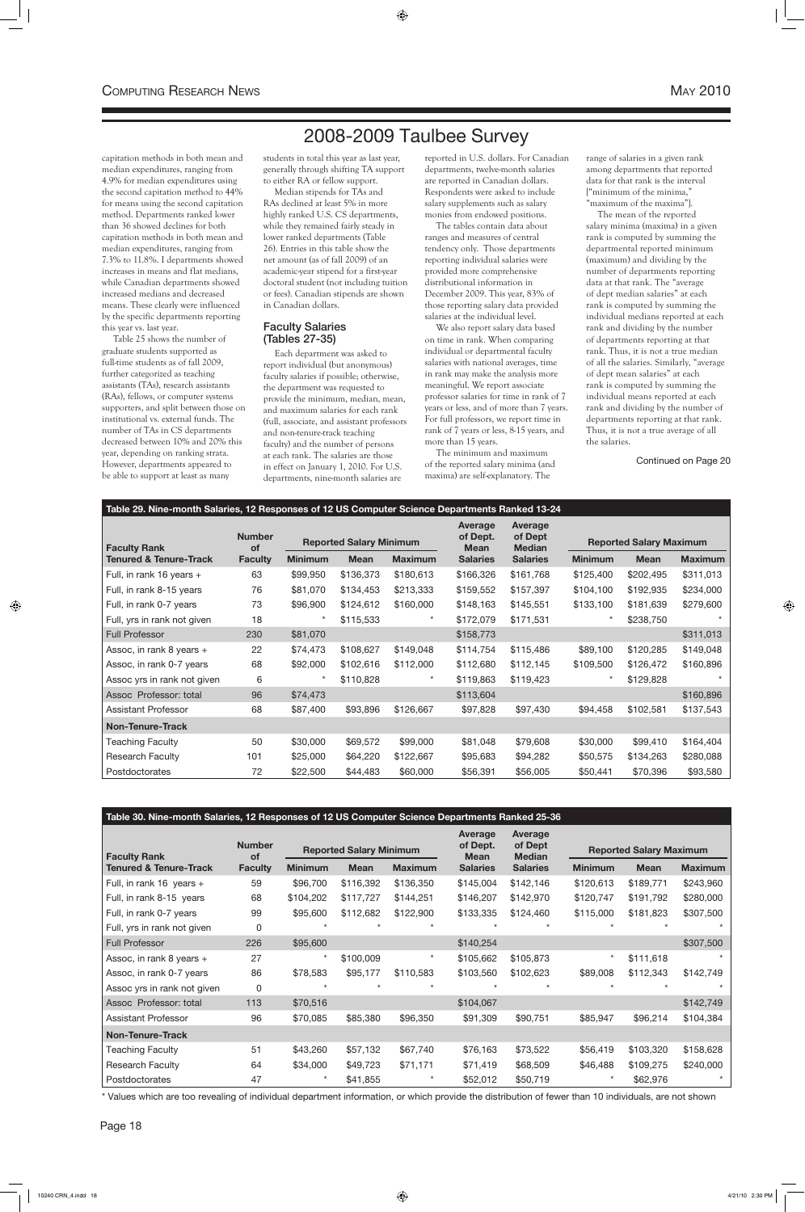2008-2009 Taulbee Survey

| Table 29. Nine-month Salaries, 12 Responses of 12 US Computer Science Departments Ranked 13-24 |                                                              |                |             |                |                                    |                                     |                |                                |                |  |
|------------------------------------------------------------------------------------------------|--------------------------------------------------------------|----------------|-------------|----------------|------------------------------------|-------------------------------------|----------------|--------------------------------|----------------|--|
| <b>Faculty Rank</b>                                                                            | <b>Number</b><br><b>Reported Salary Minimum</b><br><b>of</b> |                |             |                | Average<br>of Dept.<br><b>Mean</b> | Average<br>of Dept<br><b>Median</b> |                | <b>Reported Salary Maximum</b> |                |  |
| Tenured & Tenure-Track                                                                         | <b>Faculty</b>                                               | <b>Minimum</b> | <b>Mean</b> | <b>Maximum</b> | <b>Salaries</b>                    | <b>Salaries</b>                     | <b>Minimum</b> | <b>Mean</b>                    | <b>Maximum</b> |  |
| Full, in rank 16 years +                                                                       | 63                                                           | \$99,950       | \$136,373   | \$180,613      | \$166,326                          | \$161,768                           | \$125,400      | \$202,495                      | \$311,013      |  |
| Full, in rank 8-15 years                                                                       | 76                                                           | \$81,070       | \$134,453   | \$213,333      | \$159,552                          | \$157,397                           | \$104,100      | \$192,935                      | \$234,000      |  |
| Full, in rank 0-7 years                                                                        | 73                                                           | \$96,900       | \$124,612   | \$160,000      | \$148,163                          | \$145,551                           | \$133,100      | \$181,639                      | \$279,600      |  |
| Full, yrs in rank not given                                                                    | 18                                                           | $\ast$         | \$115,533   | $\star$        | \$172,079                          | \$171,531                           | $\star$        | \$238,750                      |                |  |
| <b>Full Professor</b>                                                                          | 230                                                          | \$81,070       |             |                | \$158,773                          |                                     |                |                                | \$311,013      |  |
| Assoc, in rank 8 years +                                                                       | 22                                                           | \$74,473       | \$108,627   | \$149,048      | \$114,754                          | \$115,486                           | \$89,100       | \$120,285                      | \$149,048      |  |
| Assoc, in rank 0-7 years                                                                       | 68                                                           | \$92,000       | \$102,616   | \$112,000      | \$112,680                          | \$112,145                           | \$109,500      | \$126,472                      | \$160,896      |  |
| Assoc yrs in rank not given                                                                    | 6                                                            |                | \$110,828   | $\star$        | \$119,863                          | \$119,423                           | $\star$        | \$129,828                      |                |  |
| Assoc Professor: total                                                                         | 96                                                           | \$74,473       |             |                | \$113,604                          |                                     |                |                                | \$160,896      |  |
| <b>Assistant Professor</b>                                                                     | 68                                                           | \$87,400       | \$93,896    | \$126,667      | \$97,828                           | \$97,430                            | \$94,458       | \$102,581                      | \$137,543      |  |
| <b>Non-Tenure-Track</b>                                                                        |                                                              |                |             |                |                                    |                                     |                |                                |                |  |
| <b>Teaching Faculty</b>                                                                        | 50                                                           | \$30,000       | \$69,572    | \$99,000       | \$81,048                           | \$79,608                            | \$30,000       | \$99,410                       | \$164,404      |  |
| <b>Research Faculty</b>                                                                        | 101                                                          | \$25,000       | \$64,220    | \$122,667      | \$95,683                           | \$94,282                            | \$50,575       | \$134,263                      | \$280,088      |  |
| Postdoctorates                                                                                 | 72                                                           | \$22,500       | \$44,483    | \$60,000       | \$56,391                           | \$56,005                            | \$50,441       | \$70,396                       | \$93,580       |  |

### **Table 30. Nine-month Salaries, 12 Responses of 12 US Computer Science Departments Ranked 25-36**

| <b>Faculty Rank</b>               | <b>Number</b><br><b>of</b> | <b>Reported Salary Minimum</b> |             | <b>Average</b><br>of Dept.<br><b>Mean</b> | <b>Average</b><br>of Dept<br><b>Median</b> |                 | <b>Reported Salary Maximum</b> |             |                |
|-----------------------------------|----------------------------|--------------------------------|-------------|-------------------------------------------|--------------------------------------------|-----------------|--------------------------------|-------------|----------------|
| <b>Tenured &amp; Tenure-Track</b> | <b>Faculty</b>             | <b>Minimum</b>                 | <b>Mean</b> | <b>Maximum</b>                            | <b>Salaries</b>                            | <b>Salaries</b> | <b>Minimum</b>                 | <b>Mean</b> | <b>Maximum</b> |
| Full, in rank $16$ years +        | 59                         | \$96,700                       | \$116,392   | \$136,350                                 | \$145,004                                  | \$142,146       | \$120,613                      | \$189,771   | \$243,960      |
| Full, in rank 8-15 years          | 68                         | \$104,202                      | \$117,727   | \$144,251                                 | \$146,207                                  | \$142,970       | \$120,747                      | \$191,792   | \$280,000      |
| Full, in rank 0-7 years           | 99                         | \$95,600                       | \$112,682   | \$122,900                                 | \$133,335                                  | \$124,460       | \$115,000                      | \$181,823   | \$307,500      |
| Full, yrs in rank not given       | 0                          |                                |             |                                           |                                            |                 |                                |             |                |
| <b>Full Professor</b>             | 226                        | \$95,600                       |             |                                           | \$140,254                                  |                 |                                |             | \$307,500      |
| Assoc, in rank 8 years +          | 27                         | $^\star$                       | \$100,009   | $\star$                                   | \$105,662                                  | \$105,873       | $\star$                        | \$111,618   |                |
| Assoc, in rank 0-7 years          | 86                         | \$78,583                       | \$95,177    | \$110,583                                 | \$103,560                                  | \$102,623       | \$89,008                       | \$112,343   | \$142,749      |
| Assoc yrs in rank not given       | 0                          |                                |             |                                           |                                            |                 |                                |             |                |
| Assoc Professor: total            | 113                        | \$70,516                       |             |                                           | \$104,067                                  |                 |                                |             | \$142,749      |
| Assistant Professor               | 96                         | \$70,085                       | \$85,380    | \$96,350                                  | \$91,309                                   | \$90,751        | \$85,947                       | \$96,214    | \$104,384      |
| <b>Non-Tenure-Track</b>           |                            |                                |             |                                           |                                            |                 |                                |             |                |
| <b>Teaching Faculty</b>           | 51                         | \$43,260                       | \$57,132    | \$67,740                                  | \$76,163                                   | \$73,522        | \$56,419                       | \$103,320   | \$158,628      |
| <b>Research Faculty</b>           | 64                         | \$34,000                       | \$49,723    | \$71,171                                  | \$71,419                                   | \$68,509        | \$46,488                       | \$109,275   | \$240,000      |
| Postdoctorates                    | 47                         | $^\star$                       | \$41,855    |                                           | \$52,012                                   | \$50,719        |                                | \$62,976    |                |

\* Values which are too revealing of individual department information, or which provide the distribution of fewer than 10 individuals, are not shown

capitation methods in both mean and median expenditures, ranging from 4.9% for median expenditures using the second capitation method to 44% for means using the second capitation method. Departments ranked lower than 36 showed declines for both capitation methods in both mean and median expenditures, ranging from 7.3% to 11.8%. I departments showed increases in means and flat medians, while Canadian departments showed increased medians and decreased means. These clearly were influenced by the specific departments reporting this year vs. last year.

Table 25 shows the number of graduate students supported as full-time students as of fall 2009, further categorized as teaching assistants (TAs), research assistants (RAs), fellows, or computer systems supporters, and split between those on institutional vs. external funds. The number of TAs in CS departments decreased between 10% and 20% this year, depending on ranking strata. However, departments appeared to be able to support at least as many

students in total this year as last year, generally through shifting TA support to either RA or fellow support.

Median stipends for TAs and RAs declined at least 5% in more highly ranked U.S. CS departments, while they remained fairly steady in lower ranked departments (Table 26). Entries in this table show the net amount (as of fall 2009) of an academic-year stipend for a first-year doctoral student (not including tuition or fees). Canadian stipends are shown in Canadian dollars.

### Faculty Salaries (Tables 27-35)

Each department was asked to report individual (but anonymous) faculty salaries if possible; otherwise, the department was requested to provide the minimum, median, mean, and maximum salaries for each rank (full, associate, and assistant professors and non-tenure-track teaching faculty) and the number of persons at each rank. The salaries are those in effect on January 1, 2010. For U.S. departments, nine-month salaries are

reported in U.S. dollars. For Canadian departments, twelve-month salaries are reported in Canadian dollars. Respondents were asked to include salary supplements such as salary monies from endowed positions.

The tables contain data about ranges and measures of central tendency only. Those departments reporting individual salaries were provided more comprehensive distributional information in December 2009. This year, 83% of those reporting salary data provided salaries at the individual level.

We also report salary data based on time in rank. When comparing individual or departmental faculty salaries with national averages, time in rank may make the analysis more meaningful. We report associate professor salaries for time in rank of 7 years or less, and of more than 7 years. For full professors, we report time in rank of 7 years or less, 8-15 years, and more than 15 years.

The minimum and maximum of the reported salary minima (and maxima) are self-explanatory. The

range of salaries in a given rank among departments that reported data for that rank is the interval ["minimum of the minima," "maximum of the maxima"].

The mean of the reported salary minima (maxima) in a given rank is computed by summing the departmental reported minimum (maximum) and dividing by the number of departments reporting data at that rank. The "average of dept median salaries" at each rank is computed by summing the individual medians reported at each rank and dividing by the number of departments reporting at that rank. Thus, it is not a true median of all the salaries. Similarly, "average of dept mean salaries" at each rank is computed by summing the individual means reported at each rank and dividing by the number of departments reporting at that rank. Thus, it is not a true average of all the salaries.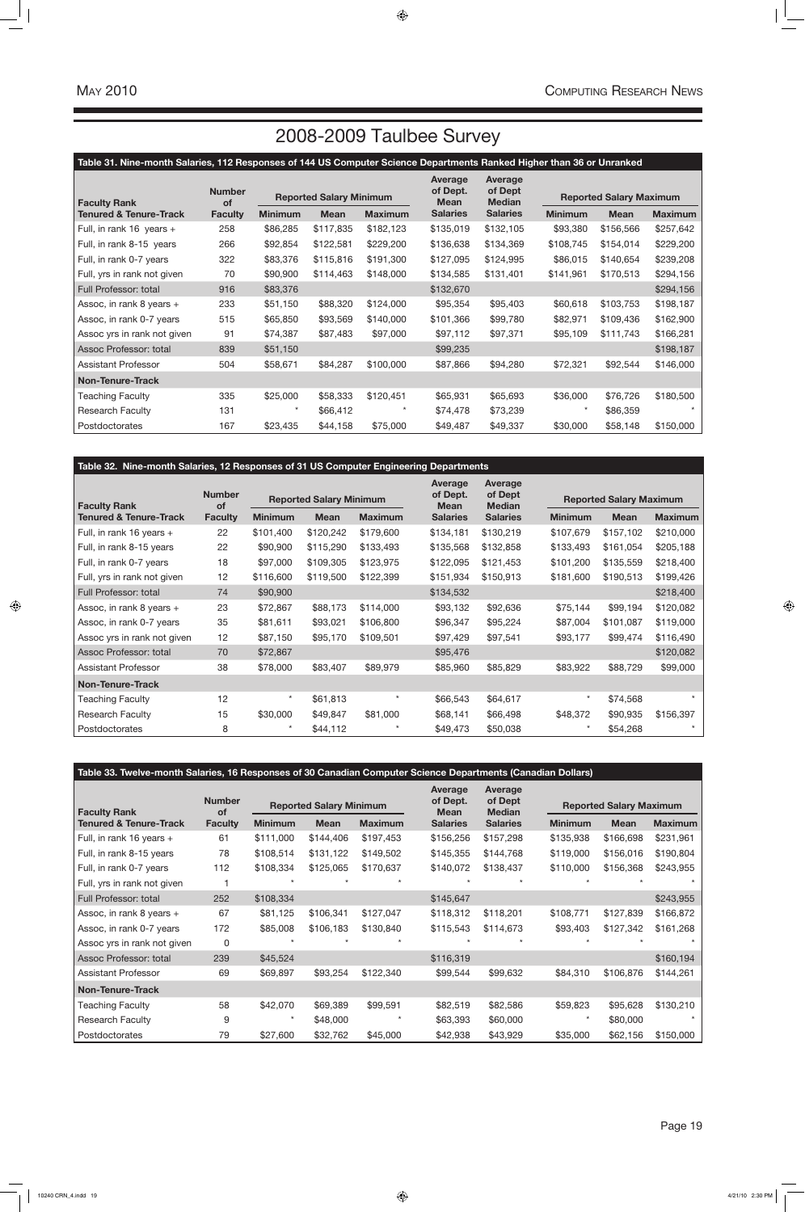| Table 33. Twelve-month Salaries, 16 Responses of 30 Canadian Computer Science Departments (Canadian Dollars) |                     |                |                                |                |                                    |                                     |                |                                |                |  |
|--------------------------------------------------------------------------------------------------------------|---------------------|----------------|--------------------------------|----------------|------------------------------------|-------------------------------------|----------------|--------------------------------|----------------|--|
| <b>Faculty Rank</b>                                                                                          | <b>Number</b><br>of |                | <b>Reported Salary Minimum</b> |                | Average<br>of Dept.<br><b>Mean</b> | Average<br>of Dept<br><b>Median</b> |                | <b>Reported Salary Maximum</b> |                |  |
| Tenured & Tenure-Track                                                                                       | <b>Faculty</b>      | <b>Minimum</b> | <b>Mean</b>                    | <b>Maximum</b> | <b>Salaries</b>                    | <b>Salaries</b>                     | <b>Minimum</b> | <b>Mean</b>                    | <b>Maximum</b> |  |
| Full, in rank 16 years +                                                                                     | 61                  | \$111,000      | \$144,406                      | \$197,453      | \$156,256                          | \$157,298                           | \$135,938      | \$166,698                      | \$231,961      |  |
| Full, in rank 8-15 years                                                                                     | 78                  | \$108,514      | \$131,122                      | \$149,502      | \$145,355                          | \$144,768                           | \$119,000      | \$156,016                      | \$190,804      |  |
| Full, in rank 0-7 years                                                                                      | 112                 | \$108,334      | \$125,065                      | \$170,637      | \$140,072                          | \$138,437                           | \$110,000      | \$156,368                      | \$243,955      |  |
| Full, yrs in rank not given                                                                                  |                     |                |                                |                |                                    |                                     |                |                                |                |  |
| Full Professor: total                                                                                        | 252                 | \$108,334      |                                |                | \$145,647                          |                                     |                |                                | \$243,955      |  |
| Assoc, in rank 8 years +                                                                                     | 67                  | \$81,125       | \$106,341                      | \$127,047      | \$118,312                          | \$118,201                           | \$108,771      | \$127,839                      | \$166,872      |  |
| Assoc, in rank 0-7 years                                                                                     | 172                 | \$85,008       | \$106,183                      | \$130,840      | \$115,543                          | \$114,673                           | \$93,403       | \$127,342                      | \$161,268      |  |
| Assoc yrs in rank not given                                                                                  | 0                   |                |                                |                |                                    |                                     |                |                                |                |  |
| Assoc Professor: total                                                                                       | 239                 | \$45,524       |                                |                | \$116,319                          |                                     |                |                                | \$160,194      |  |
| <b>Assistant Professor</b>                                                                                   | 69                  | \$69,897       | \$93,254                       | \$122,340      | \$99,544                           | \$99,632                            | \$84,310       | \$106,876                      | \$144,261      |  |
| <b>Non-Tenure-Track</b>                                                                                      |                     |                |                                |                |                                    |                                     |                |                                |                |  |
| <b>Teaching Faculty</b>                                                                                      | 58                  | \$42,070       | \$69,389                       | \$99,591       | \$82,519                           | \$82,586                            | \$59,823       | \$95,628                       | \$130,210      |  |
| <b>Research Faculty</b>                                                                                      | 9                   | $\star$        | \$48,000                       |                | \$63,393                           | \$60,000                            | $\ast$         | \$80,000                       |                |  |
| Postdoctorates                                                                                               | 79                  | \$27,600       | \$32,762                       | \$45,000       | \$42,938                           | \$43,929                            | \$35,000       | \$62,156                       | \$150,000      |  |

| Table 31. Nine-month Salaries, 112 Responses of 144 US Computer Science Departments Ranked Higher than 36 or Unranked |                |                                |             |                |                                    |                                     |                |                                |                |  |
|-----------------------------------------------------------------------------------------------------------------------|----------------|--------------------------------|-------------|----------------|------------------------------------|-------------------------------------|----------------|--------------------------------|----------------|--|
| <b>Number</b><br><b>Faculty Rank</b><br><b>of</b>                                                                     |                | <b>Reported Salary Minimum</b> |             |                | Average<br>of Dept.<br><b>Mean</b> | Average<br>of Dept<br><b>Median</b> |                | <b>Reported Salary Maximum</b> |                |  |
| <b>Tenured &amp; Tenure-Track</b>                                                                                     | <b>Faculty</b> | <b>Minimum</b>                 | <b>Mean</b> | <b>Maximum</b> | <b>Salaries</b>                    | <b>Salaries</b>                     | <b>Minimum</b> | <b>Mean</b>                    | <b>Maximum</b> |  |
| Full, in rank $16$ years +                                                                                            | 258            | \$86,285                       | \$117,835   | \$182,123      | \$135,019                          | \$132,105                           | \$93,380       | \$156,566                      | \$257,642      |  |
| Full, in rank 8-15 years                                                                                              | 266            | \$92,854                       | \$122,581   | \$229,200      | \$136,638                          | \$134,369                           | \$108,745      | \$154,014                      | \$229,200      |  |
| Full, in rank 0-7 years                                                                                               | 322            | \$83,376                       | \$115,816   | \$191,300      | \$127,095                          | \$124,995                           | \$86,015       | \$140,654                      | \$239,208      |  |
| Full, yrs in rank not given                                                                                           | 70             | \$90,900                       | \$114,463   | \$148,000      | \$134,585                          | \$131,401                           | \$141,961      | \$170,513                      | \$294,156      |  |
| Full Professor: total                                                                                                 | 916            | \$83,376                       |             |                | \$132,670                          |                                     |                |                                | \$294,156      |  |
| Assoc, in rank 8 years +                                                                                              | 233            | \$51,150                       | \$88,320    | \$124,000      | \$95,354                           | \$95,403                            | \$60,618       | \$103,753                      | \$198,187      |  |
| Assoc, in rank 0-7 years                                                                                              | 515            | \$65,850                       | \$93,569    | \$140,000      | \$101,366                          | \$99,780                            | \$82,971       | \$109,436                      | \$162,900      |  |
| Assoc yrs in rank not given                                                                                           | 91             | \$74,387                       | \$87,483    | \$97,000       | \$97,112                           | \$97,371                            | \$95,109       | \$111,743                      | \$166,281      |  |
| Assoc Professor: total                                                                                                | 839            | \$51,150                       |             |                | \$99,235                           |                                     |                |                                | \$198,187      |  |
| <b>Assistant Professor</b>                                                                                            | 504            | \$58,671                       | \$84,287    | \$100,000      | \$87,866                           | \$94,280                            | \$72,321       | \$92,544                       | \$146,000      |  |
| <b>Non-Tenure-Track</b>                                                                                               |                |                                |             |                |                                    |                                     |                |                                |                |  |
| <b>Teaching Faculty</b>                                                                                               | 335            | \$25,000                       | \$58,333    | \$120,451      | \$65,931                           | \$65,693                            | \$36,000       | \$76,726                       | \$180,500      |  |
| <b>Research Faculty</b>                                                                                               | 131            | $\star$                        | \$66,412    | $\star$        | \$74,478                           | \$73,239                            | $\star$        | \$86,359                       | $\star$        |  |
| Postdoctorates                                                                                                        | 167            | \$23,435                       | \$44,158    | \$75,000       | \$49,487                           | \$49,337                            | \$30,000       | \$58,148                       | \$150,000      |  |

### **Table 32. Nine-month Salaries, 12 Responses of 31 US Computer Engineering Departments**

| <b>Faculty Rank</b>               | <b>Number</b><br><b>of</b> | <b>Reported Salary Minimum</b> |             | Average<br>of Dept.<br><b>Mean</b> | Average<br>of Dept<br><b>Median</b> | <b>Reported Salary Maximum</b> |                |             |                |
|-----------------------------------|----------------------------|--------------------------------|-------------|------------------------------------|-------------------------------------|--------------------------------|----------------|-------------|----------------|
| <b>Tenured &amp; Tenure-Track</b> | <b>Faculty</b>             | <b>Minimum</b>                 | <b>Mean</b> | <b>Maximum</b>                     | <b>Salaries</b>                     | <b>Salaries</b>                | <b>Minimum</b> | <b>Mean</b> | <b>Maximum</b> |
| Full, in rank 16 years +          | 22                         | \$101,400                      | \$120,242   | \$179,600                          | \$134,181                           | \$130,219                      | \$107,679      | \$157,102   | \$210,000      |
| Full, in rank 8-15 years          | 22                         | \$90,900                       | \$115,290   | \$133,493                          | \$135,568                           | \$132,858                      | \$133,493      | \$161,054   | \$205,188      |
| Full, in rank 0-7 years           | 18                         | \$97,000                       | \$109,305   | \$123,975                          | \$122,095                           | \$121,453                      | \$101,200      | \$135,559   | \$218,400      |
| Full, yrs in rank not given       | 12                         | \$116,600                      | \$119,500   | \$122,399                          | \$151,934                           | \$150,913                      | \$181,600      | \$190,513   | \$199,426      |
| Full Professor: total             | 74                         | \$90,900                       |             |                                    | \$134,532                           |                                |                |             | \$218,400      |
| Assoc, in rank 8 years +          | 23                         | \$72,867                       | \$88,173    | \$114,000                          | \$93,132                            | \$92,636                       | \$75,144       | \$99,194    | \$120,082      |
| Assoc, in rank 0-7 years          | 35                         | \$81,611                       | \$93,021    | \$106,800                          | \$96,347                            | \$95,224                       | \$87,004       | \$101,087   | \$119,000      |
| Assoc yrs in rank not given       | 12                         | \$87,150                       | \$95,170    | \$109,501                          | \$97,429                            | \$97,541                       | \$93,177       | \$99,474    | \$116,490      |
| Assoc Professor: total            | 70                         | \$72,867                       |             |                                    | \$95,476                            |                                |                |             | \$120,082      |
| <b>Assistant Professor</b>        | 38                         | \$78,000                       | \$83,407    | \$89,979                           | \$85,960                            | \$85,829                       | \$83,922       | \$88,729    | \$99,000       |
| <b>Non-Tenure-Track</b>           |                            |                                |             |                                    |                                     |                                |                |             |                |
| <b>Teaching Faculty</b>           | 12                         |                                | \$61,813    | $\star$                            | \$66,543                            | \$64,617                       | $\star$        | \$74,568    |                |
| <b>Research Faculty</b>           | 15                         | \$30,000                       | \$49,847    | \$81,000                           | \$68,141                            | \$66,498                       | \$48,372       | \$90,935    | \$156,397      |
| Postdoctorates                    | 8                          |                                | \$44,112    | $^\star$                           | \$49,473                            | \$50,038                       | $\star$        | \$54,268    | $\star$        |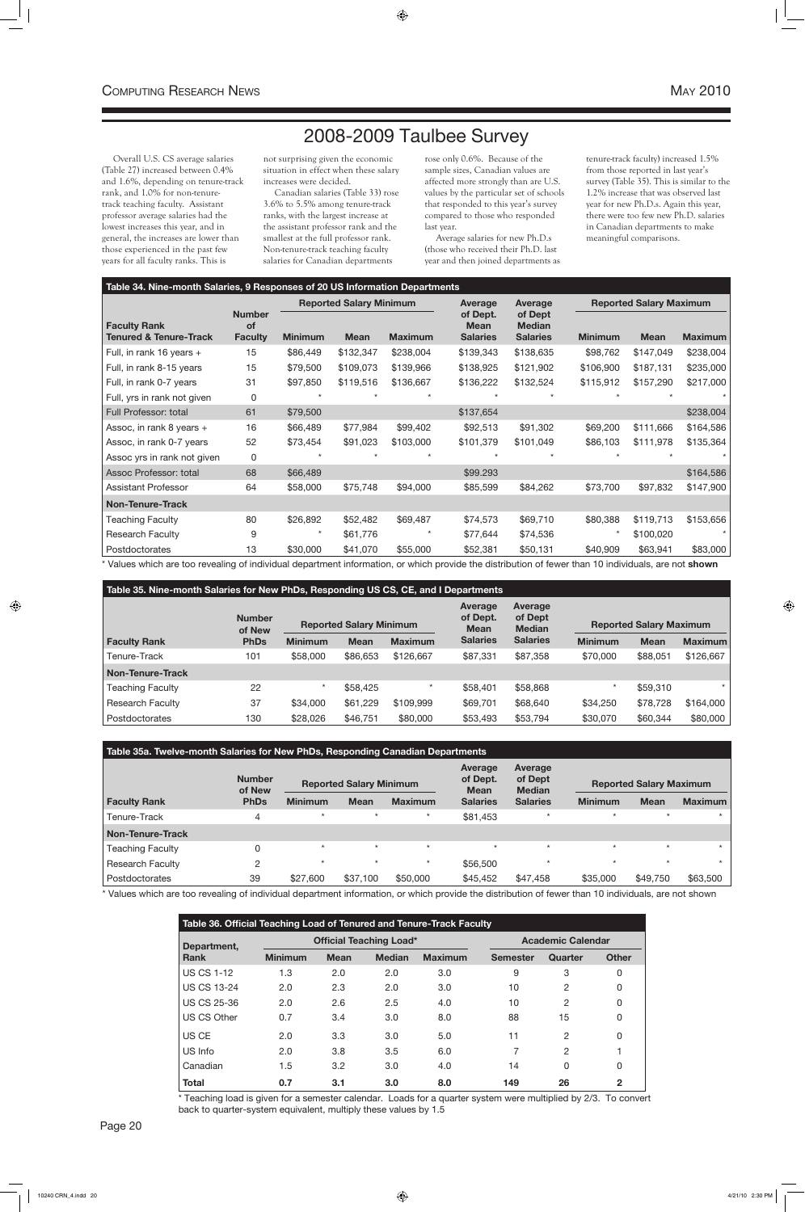## 2008-2009 Taulbee Survey

Overall U.S. CS average salaries (Table 27) increased between 0.4% and 1.6%, depending on tenure-track rank, and 1.0% for non-tenuretrack teaching faculty. Assistant professor average salaries had the lowest increases this year, and in general, the increases are lower than those experienced in the past few years for all faculty ranks. This is

not surprising given the economic situation in effect when these salary increases were decided.

Canadian salaries (Table 33) rose 3.6% to 5.5% among tenure-track ranks, with the largest increase at the assistant professor rank and the smallest at the full professor rank. Non-tenure-track teaching faculty salaries for Canadian departments

rose only 0.6%. Because of the sample sizes, Canadian values are affected more strongly than are U.S. values by the particular set of schools that responded to this year's survey compared to those who responded last year.

Average salaries for new Ph.D.s (those who received their Ph.D. last year and then joined departments as tenure-track faculty) increased 1.5% from those reported in last year's survey (Table 35). This is similar to the 1.2% increase that was observed last year for new Ph.D.s. Again this year, there were too few new Ph.D. salaries in Canadian departments to make meaningful comparisons.

#### **Table 35. Nine-month Salaries for New PhDs, Responding US CS, CE, and I Departments Faculty Rank Number of New PhDs Reported Salary Minimum Average of Dept. Mean Salaries Average of Dept Median Salaries Reported Salary Maximum Minimum Mean Maximum Minimum Mean Maximum** Tenure-Track 101 \$58,000 \$86,653 \$126,667 \$87,331 \$87,358 \$70,000 \$88,051 \$126,667 **Non-Tenure-Track** Teaching Faculty 22 \* \$58,425 \* \$58,401 \$58,868 \* \$59,310 \* Research Faculty 37 \$34,000 \$61,229 \$109,999 \$69,701 \$68,640 \$34,250 \$78,728 \$164,000 Postdoctorates 130 \$28,026 \$46,751 \$80,000 \$53,493 \$53,794 \$30,070 \$60,344 \$80,000

### **Table 34. Nine-month Salaries, 9 Responses of 20 US Information Departments**

|                                               |                                       |                | <b>Reported Salary Minimum</b> |                | <b>Average</b>                             | <b>Average</b>                              |                | <b>Reported Salary Maximum</b> |                |  |
|-----------------------------------------------|---------------------------------------|----------------|--------------------------------|----------------|--------------------------------------------|---------------------------------------------|----------------|--------------------------------|----------------|--|
| <b>Faculty Rank</b><br>Tenured & Tenure-Track | <b>Number</b><br>of<br><b>Faculty</b> | <b>Minimum</b> | <b>Mean</b>                    | <b>Maximum</b> | of Dept.<br><b>Mean</b><br><b>Salaries</b> | of Dept<br><b>Median</b><br><b>Salaries</b> | <b>Minimum</b> | <b>Mean</b>                    | <b>Maximum</b> |  |
| Full, in rank 16 years +                      | 15                                    | \$86,449       | \$132,347                      | \$238,004      | \$139,343                                  | \$138,635                                   | \$98,762       | \$147,049                      | \$238,004      |  |
| Full, in rank 8-15 years                      | 15                                    | \$79,500       | \$109,073                      | \$139,966      | \$138,925                                  | \$121,902                                   | \$106,900      | \$187,131                      | \$235,000      |  |
| Full, in rank 0-7 years                       | 31                                    | \$97,850       | \$119,516                      | \$136,667      | \$136,222                                  | \$132,524                                   | \$115,912      | \$157,290                      | \$217,000      |  |
| Full, yrs in rank not given                   | 0                                     |                |                                |                |                                            |                                             |                |                                |                |  |
| Full Professor: total                         | 61                                    | \$79,500       |                                |                | \$137,654                                  |                                             |                |                                | \$238,004      |  |
| Assoc, in rank 8 years +                      | 16                                    | \$66,489       | \$77,984                       | \$99,402       | \$92,513                                   | \$91,302                                    | \$69,200       | \$111,666                      | \$164,586      |  |
| Assoc, in rank 0-7 years                      | 52                                    | \$73,454       | \$91,023                       | \$103,000      | \$101,379                                  | \$101,049                                   | \$86,103       | \$111,978                      | \$135,364      |  |
| Assoc yrs in rank not given                   | 0                                     |                |                                |                |                                            |                                             |                |                                |                |  |
| Assoc Professor: total                        | 68                                    | \$66,489       |                                |                | \$99.293                                   |                                             |                |                                | \$164,586      |  |
| <b>Assistant Professor</b>                    | 64                                    | \$58,000       | \$75,748                       | \$94,000       | \$85,599                                   | \$84,262                                    | \$73,700       | \$97,832                       | \$147,900      |  |
| Non-Tenure-Track                              |                                       |                |                                |                |                                            |                                             |                |                                |                |  |
| <b>Teaching Faculty</b>                       | 80                                    | \$26,892       | \$52,482                       | \$69,487       | \$74,573                                   | \$69,710                                    | \$80,388       | \$119,713                      | \$153,656      |  |
| <b>Research Faculty</b>                       | 9                                     |                | \$61,776                       |                | \$77,644                                   | \$74,536                                    | $\star$        | \$100,020                      |                |  |
| Postdoctorates                                | 13                                    | \$30,000       | \$41,070                       | \$55,000       | \$52,381                                   | \$50,131                                    | \$40,909       | \$63,941                       | \$83,000       |  |

\* Values which are too revealing of individual department information, or which provide the distribution of fewer than 10 individuals, are not **shown**

| Table 35a. Twelve-month Salaries for New PhDs, Responding Canadian Departments |                         |                                |             |                |                                           |                                     |                                |             |                |  |  |
|--------------------------------------------------------------------------------|-------------------------|--------------------------------|-------------|----------------|-------------------------------------------|-------------------------------------|--------------------------------|-------------|----------------|--|--|
|                                                                                | <b>Number</b><br>of New | <b>Reported Salary Minimum</b> |             |                | <b>Average</b><br>of Dept.<br><b>Mean</b> | Average<br>of Dept<br><b>Median</b> | <b>Reported Salary Maximum</b> |             |                |  |  |
| <b>Faculty Rank</b>                                                            | <b>PhDs</b>             | <b>Minimum</b>                 | <b>Mean</b> | <b>Maximum</b> | <b>Salaries</b>                           | <b>Salaries</b>                     | <b>Minimum</b>                 | <b>Mean</b> | <b>Maximum</b> |  |  |
| Tenure-Track                                                                   | 4                       | $\star$                        |             | $\star$        | \$81,453                                  |                                     |                                | $\star$     | $\star$        |  |  |
| <b>Non-Tenure-Track</b>                                                        |                         |                                |             |                |                                           |                                     |                                |             |                |  |  |
| <b>Teaching Faculty</b>                                                        | 0                       | $\star$                        | $\star$     | $\star$        | $\star$                                   | $\star$                             | $\star$                        | $\star$     | $\star$        |  |  |
| Research Faculty                                                               | $\overline{2}$          | $\star$                        | $\star$     | $\star$        | \$56,500                                  | $\star$                             | $\star$                        | $\star$     | $\star$        |  |  |
| l Postdoctorates                                                               | 39                      | \$27,600                       | \$37,100    | \$50,000       | \$45,452                                  | \$47,458                            | \$35,000                       | \$49,750    | \$63,500       |  |  |

\* Values which are too revealing of individual department information, or which provide the distribution of fewer than 10 individuals, are not shown

| Table 36. Official Teaching Load of Tenured and Tenure-Track Faculty |                |             |                                |                          |                 |                |              |
|----------------------------------------------------------------------|----------------|-------------|--------------------------------|--------------------------|-----------------|----------------|--------------|
| Department,                                                          |                |             | <b>Official Teaching Load*</b> | <b>Academic Calendar</b> |                 |                |              |
| <b>Rank</b>                                                          | <b>Minimum</b> | <b>Mean</b> | <b>Median</b>                  | <b>Maximum</b>           | <b>Semester</b> | Quarter        | <b>Other</b> |
| <b>US CS 1-12</b>                                                    | 1.3            | 2.0         | 2.0                            | 3.0                      | 9               | 3              | 0            |
| <b>US CS 13-24</b>                                                   | 2.0            | 2.3         | 2.0                            | 3.0                      | 10              | 2              | 0            |
| <b>US CS 25-36</b>                                                   | 2.0            | 2.6         | 2.5                            | 4.0                      | 10              | $\overline{2}$ | 0            |
| <b>US CS Other</b>                                                   | 0.7            | 3.4         | 3.0                            | 8.0                      | 88              | 15             | 0            |
| US CE                                                                | 2.0            | 3.3         | 3.0                            | 5.0                      | 11              | 2              | 0            |
| US Info                                                              | 2.0            | 3.8         | 3.5                            | 6.0                      | 7               | 2              |              |
| Canadian                                                             | 1.5            | 3.2         | 3.0                            | 4.0                      | 14              | 0              | 0            |
| <b>Total</b>                                                         | 0.7            | 3.1         | 3.0                            | 8.0                      | 149             | 26             | $\mathbf{2}$ |

\* Teaching load is given for a semester calendar. Loads for a quarter system were multiplied by 2/3. To convert back to quarter-system equivalent, multiply these values by 1.5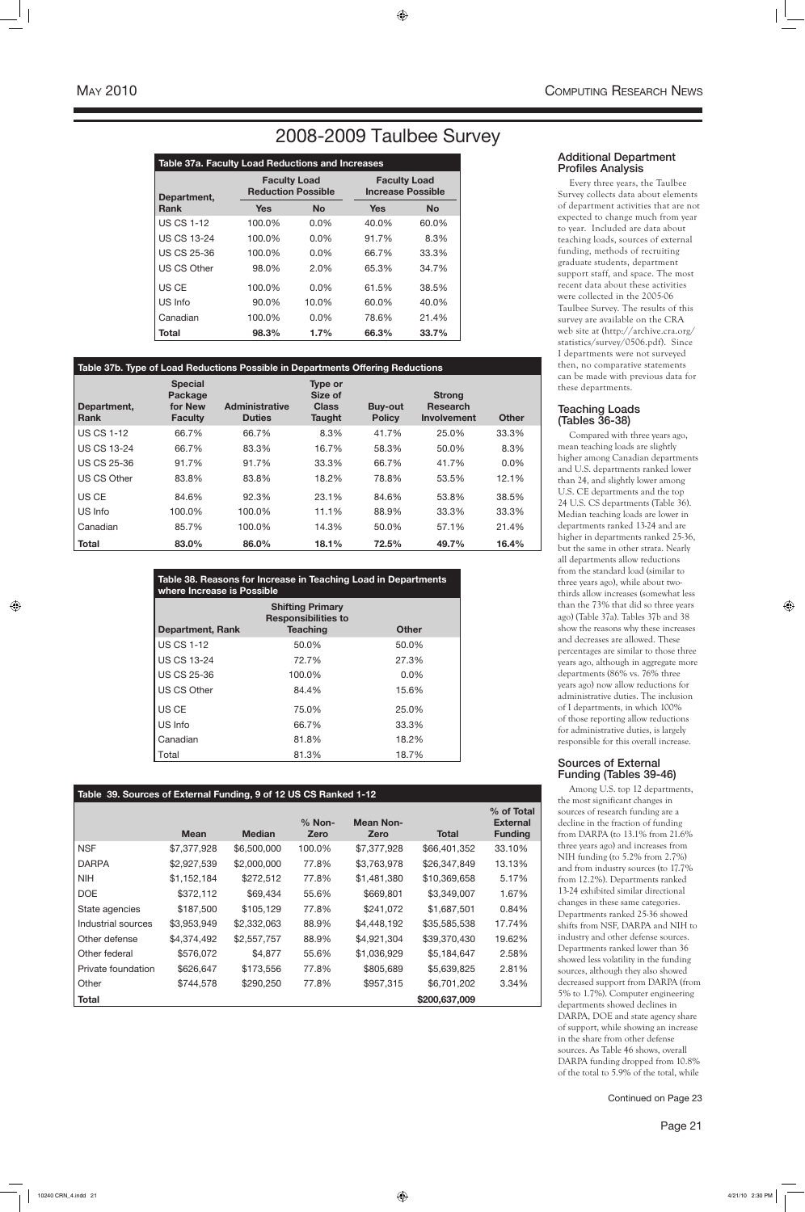### 2008-2009 Taulbee Survey

### **Table 39. Sources of External Funding, 9 of 12 US CS Ranked 1-12**

|                    | <b>Mean</b> | <b>Median</b> | $%$ Non-<br>Zero | <b>Mean Non-</b><br>Zero | Total         | % of Total<br><b>External</b><br><b>Funding</b> |
|--------------------|-------------|---------------|------------------|--------------------------|---------------|-------------------------------------------------|
| <b>NSF</b>         | \$7,377,928 | \$6,500,000   | 100.0%           | \$7,377,928              | \$66,401,352  | 33.10%                                          |
| <b>DARPA</b>       | \$2,927,539 | \$2,000,000   | 77.8%            | \$3,763,978              | \$26,347,849  | 13.13%                                          |
| <b>NIH</b>         | \$1,152,184 | \$272,512     | 77.8%            | \$1,481,380              | \$10,369,658  | 5.17%                                           |
| <b>DOE</b>         | \$372,112   | \$69,434      | 55.6%            | \$669,801                | \$3,349,007   | 1.67%                                           |
| State agencies     | \$187,500   | \$105,129     | 77.8%            | \$241,072                | \$1,687,501   | 0.84%                                           |
| Industrial sources | \$3,953,949 | \$2,332,063   | 88.9%            | \$4,448,192              | \$35,585,538  | 17.74%                                          |
| Other defense      | \$4,374,492 | \$2,557,757   | 88.9%            | \$4,921,304              | \$39,370,430  | 19.62%                                          |
| Other federal      | \$576,072   | \$4,877       | 55.6%            | \$1,036,929              | \$5,184,647   | 2.58%                                           |
| Private foundation | \$626,647   | \$173,556     | 77.8%            | \$805,689                | \$5,639,825   | 2.81%                                           |
| Other              | \$744,578   | \$290,250     | 77.8%            | \$957,315                | \$6,701,202   | 3.34%                                           |
| <b>Total</b>       |             |               |                  |                          | \$200,637,009 |                                                 |

Continued on Page 23

| Table 37a. Faculty Load Reductions and Increases |                                                  |           |                                                 |           |  |  |  |  |
|--------------------------------------------------|--------------------------------------------------|-----------|-------------------------------------------------|-----------|--|--|--|--|
| Department,                                      | <b>Faculty Load</b><br><b>Reduction Possible</b> |           | <b>Faculty Load</b><br><b>Increase Possible</b> |           |  |  |  |  |
| <b>Rank</b>                                      | <b>Yes</b>                                       | <b>No</b> | <b>Yes</b>                                      | <b>No</b> |  |  |  |  |
| <b>US CS 1-12</b>                                | 100.0%                                           | $0.0\%$   | 40.0%                                           | 60.0%     |  |  |  |  |
| <b>US CS 13-24</b>                               | 100.0%                                           | $0.0\%$   | 91.7%                                           | 8.3%      |  |  |  |  |
| <b>US CS 25-36</b>                               | 100.0%                                           | $0.0\%$   | 66.7%                                           | 33.3%     |  |  |  |  |
| <b>US CS Other</b>                               | 98.0%                                            | 2.0%      | 65.3%                                           | 34.7%     |  |  |  |  |
| US CE                                            | 100.0%                                           | $0.0\%$   | 61.5%                                           | 38.5%     |  |  |  |  |
| US Info                                          | 90.0%                                            | 10.0%     | 60.0%                                           | 40.0%     |  |  |  |  |
| Canadian                                         | 100.0%                                           | $0.0\%$   | 78.6%                                           | 21.4%     |  |  |  |  |
| Total                                            | 98.3%                                            | 1.7%      | 66.3%                                           | 33.7%     |  |  |  |  |

### **Table 37b. Type of Load Reductions Possible in Departments Offering Reductions**

| Department,<br><b>Rank</b> | <b>Special</b><br>Package<br>for New<br><b>Faculty</b> | <b>Administrative</b><br><b>Duties</b> | <b>Type or</b><br>Size of<br><b>Class</b><br><b>Taught</b> | <b>Buy-out</b><br><b>Policy</b> | <b>Strong</b><br><b>Research</b><br><b>Involvement</b> | <b>Other</b> |
|----------------------------|--------------------------------------------------------|----------------------------------------|------------------------------------------------------------|---------------------------------|--------------------------------------------------------|--------------|
| <b>US CS 1-12</b>          | 66.7%                                                  | 66.7%                                  | 8.3%                                                       | 41.7%                           | 25.0%                                                  | 33.3%        |
| <b>US CS 13-24</b>         | 66.7%                                                  | 83.3%                                  | 16.7%                                                      | 58.3%                           | 50.0%                                                  | 8.3%         |
| <b>US CS 25-36</b>         | 91.7%                                                  | 91.7%                                  | 33.3%                                                      | 66.7%                           | 41.7%                                                  | $0.0\%$      |
| US CS Other                | 83.8%                                                  | 83.8%                                  | 18.2%                                                      | 78.8%                           | 53.5%                                                  | 12.1%        |
| US CE                      | 84.6%                                                  | 92.3%                                  | 23.1%                                                      | 84.6%                           | 53.8%                                                  | 38.5%        |
| US Info                    | 100.0%                                                 | 100.0%                                 | 11.1%                                                      | 88.9%                           | 33.3%                                                  | 33.3%        |
| Canadian                   | 85.7%                                                  | 100.0%                                 | 14.3%                                                      | 50.0%                           | 57.1%                                                  | 21.4%        |
| <b>Total</b>               | 83.0%                                                  | 86.0%                                  | 18.1%                                                      | 72.5%                           | 49.7%                                                  | 16.4%        |

| Table 38. Reasons for Increase in Teaching Load in Departments<br>where Increase is Possible                        |        |         |  |  |  |  |  |
|---------------------------------------------------------------------------------------------------------------------|--------|---------|--|--|--|--|--|
| <b>Shifting Primary</b><br><b>Responsibilities to</b><br><b>Teaching</b><br><b>Other</b><br><b>Department, Rank</b> |        |         |  |  |  |  |  |
| <b>US CS 1-12</b>                                                                                                   | 50.0%  | 50.0%   |  |  |  |  |  |
| <b>US CS 13-24</b>                                                                                                  | 72.7%  | 27.3%   |  |  |  |  |  |
| <b>US CS 25-36</b>                                                                                                  | 100.0% | $0.0\%$ |  |  |  |  |  |
| <b>US CS Other</b>                                                                                                  | 84.4%  | 15.6%   |  |  |  |  |  |
| US CE                                                                                                               | 75.0%  | 25.0%   |  |  |  |  |  |
| US Info                                                                                                             | 66.7%  | 33.3%   |  |  |  |  |  |
| Canadian                                                                                                            | 81.8%  | 18.2%   |  |  |  |  |  |
| Total                                                                                                               | 81.3%  | 18.7%   |  |  |  |  |  |

### Additional Department Profiles Analysis

Every three years, the Taulbee Survey collects data about elements of department activities that are not expected to change much from year to year. Included are data about teaching loads, sources of external funding, methods of recruiting graduate students, department support staff, and space. The most recent data about these activities were collected in the 2005-06 Taulbee Survey. The results of this survey are available on the CRA web site at (http://archive.cra.org/ statistics/survey/0506.pdf). Since I departments were not surveyed then, no comparative statements can be made with previous data for these departments.

### Teaching Loads (Tables 36-38)

Compared with three years ago, mean teaching loads are slightly higher among Canadian departments and U.S. departments ranked lower than 24, and slightly lower among U.S. CE departments and the top 24 U.S. CS departments (Table 36). Median teaching loads are lower in departments ranked 13-24 and are higher in departments ranked 25-36, but the same in other strata. Nearly all departments allow reductions from the standard load (similar to three years ago), while about twothirds allow increases (somewhat less than the 73% that did so three years ago) (Table 37a). Tables 37b and 38 show the reasons why these increases and decreases are allowed. These percentages are similar to those three years ago, although in aggregate more departments (86% vs. 76% three years ago) now allow reductions for administrative duties. The inclusion of I departments, in which 100% of those reporting allow reductions for administrative duties, is largely responsible for this overall increase.

### Sources of External Funding (Tables 39-46)

Among U.S. top 12 departments, the most significant changes in sources of research funding are a decline in the fraction of funding from DARPA (to 13.1% from 21.6% three years ago) and increases from NIH funding (to 5.2% from 2.7%) and from industry sources (to 17.7% from 12.2%). Departments ranked 13-24 exhibited similar directional changes in these same categories. Departments ranked 25-36 showed shifts from NSF, DARPA and NIH to industry and other defense sources. Departments ranked lower than 36 showed less volatility in the funding sources, although they also showed decreased support from DARPA (from 5% to 1.7%). Computer engineering departments showed declines in DARPA, DOE and state agency share of support, while showing an increase in the share from other defense sources. As Table 46 shows, overall DARPA funding dropped from 10.8% of the total to 5.9% of the total, while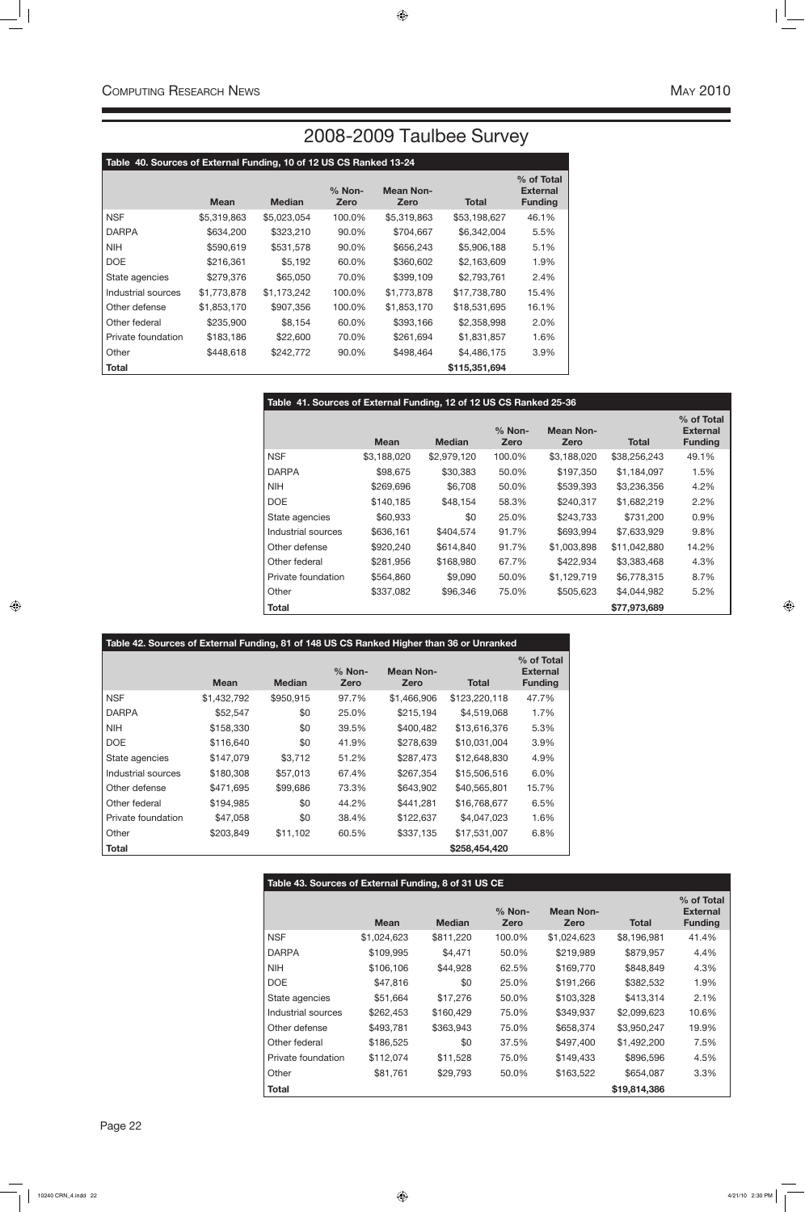# 2008-2009 Taulbee Survey

| Table 40. Sources of External Funding, 10 of 12 US CS Ranked 13-24 |             |               |                |                          |               |                                                 |
|--------------------------------------------------------------------|-------------|---------------|----------------|--------------------------|---------------|-------------------------------------------------|
|                                                                    | <b>Mean</b> | <b>Median</b> | % Non-<br>Zero | <b>Mean Non-</b><br>Zero | <b>Total</b>  | % of Total<br><b>External</b><br><b>Funding</b> |
| <b>NSF</b>                                                         | \$5,319,863 | \$5,023,054   | 100.0%         | \$5,319,863              | \$53,198,627  | 46.1%                                           |
| <b>DARPA</b>                                                       | \$634,200   | \$323,210     | 90.0%          | \$704,667                | \$6,342,004   | 5.5%                                            |
| <b>NIH</b>                                                         | \$590,619   | \$531,578     | 90.0%          | \$656,243                | \$5,906,188   | 5.1%                                            |
| <b>DOE</b>                                                         | \$216,361   | \$5,192       | 60.0%          | \$360,602                | \$2,163,609   | 1.9%                                            |
| State agencies                                                     | \$279,376   | \$65,050      | 70.0%          | \$399,109                | \$2,793,761   | 2.4%                                            |
| Industrial sources                                                 | \$1,773,878 | \$1,173,242   | 100.0%         | \$1,773,878              | \$17,738,780  | 15.4%                                           |
| Other defense                                                      | \$1,853,170 | \$907,356     | 100.0%         | \$1,853,170              | \$18,531,695  | 16.1%                                           |
| Other federal                                                      | \$235,900   | \$8,154       | 60.0%          | \$393,166                | \$2,358,998   | 2.0%                                            |
| Private foundation                                                 | \$183,186   | \$22,600      | 70.0%          | \$261,694                | \$1,831,857   | 1.6%                                            |
| Other                                                              | \$448,618   | \$242,772     | 90.0%          | \$498,464                | \$4,486,175   | 3.9%                                            |
| <b>Total</b>                                                       |             |               |                |                          | \$115,351,694 |                                                 |

| Table 41. Sources of External Funding, 12 of 12 US CS Ranked 25-36 |             |               |                  |                          |              |                                                 |
|--------------------------------------------------------------------|-------------|---------------|------------------|--------------------------|--------------|-------------------------------------------------|
|                                                                    | <b>Mean</b> | <b>Median</b> | $%$ Non-<br>Zero | <b>Mean Non-</b><br>Zero | <b>Total</b> | % of Total<br><b>External</b><br><b>Funding</b> |
| <b>NSF</b>                                                         | \$3,188,020 | \$2,979,120   | 100.0%           | \$3,188,020              | \$38,256,243 | 49.1%                                           |
| <b>DARPA</b>                                                       | \$98,675    | \$30,383      | 50.0%            | \$197,350                | \$1,184,097  | 1.5%                                            |
| <b>NIH</b>                                                         | \$269,696   | \$6,708       | 50.0%            | \$539,393                | \$3,236,356  | 4.2%                                            |
| <b>DOE</b>                                                         | \$140,185   | \$48,154      | 58.3%            | \$240,317                | \$1,682,219  | 2.2%                                            |
| State agencies                                                     | \$60,933    | \$0           | 25.0%            | \$243,733                | \$731,200    | 0.9%                                            |
| Industrial sources                                                 | \$636,161   | \$404,574     | 91.7%            | \$693,994                | \$7,633,929  | 9.8%                                            |
| Other defense                                                      | \$920,240   | \$614,840     | 91.7%            | \$1,003,898              | \$11,042,880 | 14.2%                                           |
| Other federal                                                      | \$281,956   | \$168,980     | 67.7%            | \$422,934                | \$3,383,468  | 4.3%                                            |
| Private foundation                                                 | \$564,860   | \$9,090       | 50.0%            | \$1,129,719              | \$6,778,315  | 8.7%                                            |
| Other                                                              | \$337,082   | \$96,346      | 75.0%            | \$505,623                | \$4,044,982  | 5.2%                                            |
| Total                                                              |             |               |                  |                          | \$77,973,689 |                                                 |

| Table 42. Sources of External Funding, 81 of 148 US CS Ranked Higher than 36 or Unranked |             |               |                  |                          |               |                                                 |  |
|------------------------------------------------------------------------------------------|-------------|---------------|------------------|--------------------------|---------------|-------------------------------------------------|--|
|                                                                                          | <b>Mean</b> | <b>Median</b> | $%$ Non-<br>Zero | <b>Mean Non-</b><br>Zero | <b>Total</b>  | % of Total<br><b>External</b><br><b>Funding</b> |  |
| <b>NSF</b>                                                                               | \$1,432,792 | \$950,915     | 97.7%            | \$1,466,906              | \$123,220,118 | 47.7%                                           |  |
| <b>DARPA</b>                                                                             | \$52,547    | \$0           | 25.0%            | \$215,194                | \$4,519,068   | 1.7%                                            |  |
| <b>NIH</b>                                                                               | \$158,330   | \$0           | 39.5%            | \$400,482                | \$13,616,376  | 5.3%                                            |  |
| <b>DOE</b>                                                                               | \$116,640   | \$0           | 41.9%            | \$278,639                | \$10,031,004  | 3.9%                                            |  |
| State agencies                                                                           | \$147,079   | \$3,712       | 51.2%            | \$287,473                | \$12,648,830  | 4.9%                                            |  |
| Industrial sources                                                                       | \$180,308   | \$57,013      | 67.4%            | \$267,354                | \$15,506,516  | 6.0%                                            |  |
| Other defense                                                                            | \$471,695   | \$99,686      | 73.3%            | \$643,902                | \$40,565,801  | 15.7%                                           |  |
| Other federal                                                                            | \$194,985   | \$0           | 44.2%            | \$441,281                | \$16,768,677  | 6.5%                                            |  |
| Private foundation                                                                       | \$47,058    | \$0           | 38.4%            | \$122,637                | \$4,047,023   | 1.6%                                            |  |
| Other                                                                                    | \$203,849   | \$11,102      | 60.5%            | \$337,135                | \$17,531,007  | 6.8%                                            |  |
| <b>Total</b>                                                                             |             |               |                  |                          | \$258,454,420 |                                                 |  |

| Table 43. Sources of External Funding, 8 of 31 US CE |             |               |                  |                          |              |                                                 |
|------------------------------------------------------|-------------|---------------|------------------|--------------------------|--------------|-------------------------------------------------|
|                                                      | <b>Mean</b> | <b>Median</b> | $%$ Non-<br>Zero | <b>Mean Non-</b><br>Zero | <b>Total</b> | % of Total<br><b>External</b><br><b>Funding</b> |
| <b>NSF</b>                                           | \$1,024,623 | \$811,220     | 100.0%           | \$1,024,623              | \$8,196,981  | 41.4%                                           |
| <b>DARPA</b>                                         | \$109,995   | \$4,471       | 50.0%            | \$219,989                | \$879,957    | 4.4%                                            |
| <b>NIH</b>                                           | \$106,106   | \$44,928      | 62.5%            | \$169,770                | \$848,849    | 4.3%                                            |
| DOE                                                  | \$47,816    | \$0           | 25.0%            | \$191,266                | \$382,532    | 1.9%                                            |
| State agencies                                       | \$51,664    | \$17,276      | 50.0%            | \$103,328                | \$413,314    | 2.1%                                            |
| Industrial sources                                   | \$262,453   | \$160,429     | 75.0%            | \$349,937                | \$2,099,623  | 10.6%                                           |
| Other defense                                        | \$493,781   | \$363,943     | 75.0%            | \$658,374                | \$3,950,247  | 19.9%                                           |
| Other federal                                        | \$186,525   | \$0           | 37.5%            | \$497,400                | \$1,492,200  | 7.5%                                            |
| Private foundation                                   | \$112,074   | \$11,528      | 75.0%            | \$149,433                | \$896,596    | 4.5%                                            |
| Other                                                | \$81,761    | \$29,793      | 50.0%            | \$163,522                | \$654,087    | 3.3%                                            |
| Total                                                |             |               |                  |                          | \$19,814,386 |                                                 |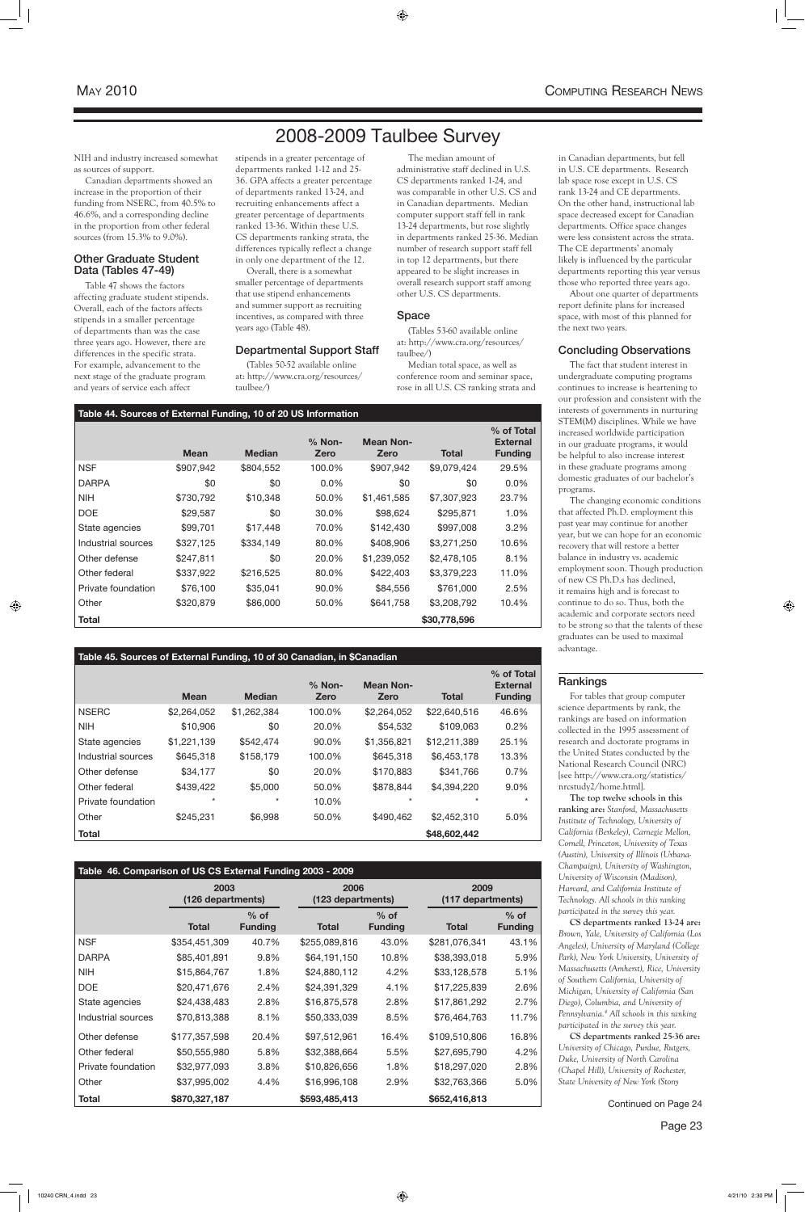**Table 44. Sources of External Funding, 10 of 20 US Information**

|                    | <b>Mean</b> | <b>Median</b> | $%$ Non-<br>Zero | <b>Mean Non-</b><br>Zero | <b>Total</b> | % of Total<br><b>External</b><br><b>Funding</b> |
|--------------------|-------------|---------------|------------------|--------------------------|--------------|-------------------------------------------------|
| <b>NSF</b>         | \$907,942   | \$804,552     | 100.0%           | \$907,942                | \$9,079,424  | 29.5%                                           |
| <b>DARPA</b>       | \$0         | \$0           | $0.0\%$          | \$0                      | \$0          | 0.0%                                            |
| <b>NIH</b>         | \$730,792   | \$10,348      | 50.0%            | \$1,461,585              | \$7,307,923  | 23.7%                                           |
| <b>DOE</b>         | \$29,587    | \$0           | 30.0%            | \$98,624                 | \$295,871    | 1.0%                                            |
| State agencies     | \$99,701    | \$17,448      | 70.0%            | \$142,430                | \$997,008    | 3.2%                                            |
| Industrial sources | \$327,125   | \$334,149     | 80.0%            | \$408,906                | \$3,271,250  | 10.6%                                           |
| Other defense      | \$247,811   | \$0           | 20.0%            | \$1,239,052              | \$2,478,105  | 8.1%                                            |
| Other federal      | \$337,922   | \$216,525     | 80.0%            | \$422,403                | \$3,379,223  | 11.0%                                           |
| Private foundation | \$76,100    | \$35,041      | 90.0%            | \$84,556                 | \$761,000    | 2.5%                                            |
| Other              | \$320,879   | \$86,000      | 50.0%            | \$641,758                | \$3,208,792  | 10.4%                                           |
| <b>Total</b>       |             |               |                  |                          | \$30,778,596 |                                                 |

### **Table 45. Sources of External Funding, 10 of 30 Canadian, in \$Canadian**

|                    | <b>Mean</b> | <b>Median</b> | $%$ Non-<br>Zero | <b>Mean Non-</b><br>Zero | <b>Total</b> | % of Total<br><b>External</b><br><b>Funding</b> |
|--------------------|-------------|---------------|------------------|--------------------------|--------------|-------------------------------------------------|
| <b>NSERC</b>       | \$2,264,052 | \$1,262,384   | 100.0%           | \$2,264,052              | \$22,640,516 | 46.6%                                           |
| <b>NIH</b>         | \$10,906    | \$0           | 20.0%            | \$54,532                 | \$109,063    | 0.2%                                            |
| State agencies     | \$1,221,139 | \$542,474     | 90.0%            | \$1,356,821              | \$12,211,389 | 25.1%                                           |
| Industrial sources | \$645,318   | \$158,179     | 100.0%           | \$645,318                | \$6,453,178  | 13.3%                                           |
| Other defense      | \$34,177    | \$0           | 20.0%            | \$170,883                | \$341,766    | 0.7%                                            |
| Other federal      | \$439,422   | \$5,000       | 50.0%            | \$878,844                | \$4,394,220  | 9.0%                                            |
| Private foundation | $^\star$    | $^\star$      | 10.0%            | $^\star$                 | $\star$      | $\star$                                         |
| Other              | \$245,231   | \$6,998       | 50.0%            | \$490,462                | \$2,452,310  | 5.0%                                            |
| <b>Total</b>       |             |               |                  |                          | \$48,602,442 |                                                 |

### **Table 46. Comparison of US CS External Funding 2003 - 2009**

|                    | 2003<br>(126 departments) |                          |               | 2006<br>(123 departments) |               | 2009<br>(117 departments) |  |
|--------------------|---------------------------|--------------------------|---------------|---------------------------|---------------|---------------------------|--|
|                    | Total                     | $%$ of<br><b>Funding</b> | Total         | $%$ of<br><b>Funding</b>  | <b>Total</b>  | $%$ of<br><b>Funding</b>  |  |
| <b>NSF</b>         | \$354,451,309             | 40.7%                    | \$255,089,816 | 43.0%                     | \$281,076,341 | 43.1%                     |  |
| <b>DARPA</b>       | \$85,401,891              | 9.8%                     | \$64,191,150  | 10.8%                     | \$38,393,018  | 5.9%                      |  |
| <b>NIH</b>         | \$15,864,767              | 1.8%                     | \$24,880,112  | 4.2%                      | \$33,128,578  | 5.1%                      |  |
| <b>DOE</b>         | \$20,471,676              | 2.4%                     | \$24,391,329  | 4.1%                      | \$17,225,839  | 2.6%                      |  |
| State agencies     | \$24,438,483              | 2.8%                     | \$16,875,578  | 2.8%                      | \$17,861,292  | 2.7%                      |  |
| Industrial sources | \$70,813,388              | 8.1%                     | \$50,333,039  | 8.5%                      | \$76,464,763  | 11.7%                     |  |
| Other defense      | \$177,357,598             | 20.4%                    | \$97,512,961  | 16.4%                     | \$109,510,806 | 16.8%                     |  |
| Other federal      | \$50,555,980              | 5.8%                     | \$32,388,664  | 5.5%                      | \$27,695,790  | 4.2%                      |  |
| Private foundation | \$32,977,093              | 3.8%                     | \$10,826,656  | 1.8%                      | \$18,297,020  | 2.8%                      |  |
| Other              | \$37,995,002              | 4.4%                     | \$16,996,108  | 2.9%                      | \$32,763,366  | 5.0%                      |  |
| Total              | \$870,327,187             |                          | \$593,485,413 |                           | \$652,416,813 |                           |  |

in Canadian departments, but fell in U.S. CE departments. Research lab space rose except in U.S. CS rank 13-24 and CE departments. On the other hand, instructional lab space decreased except for Canadian departments. Office space changes were less consistent across the strata. The CE departments' anomaly likely is influenced by the particular departments reporting this year versus those who reported three years ago.

About one quarter of departments report definite plans for increased space, with most of this planned for the next two years.

### Concluding Observations

The fact that student interest in undergraduate computing programs continues to increase is heartening to our profession and consistent with the interests of governments in nurturing STEM(M) disciplines. While we have increased worldwide participation in our graduate programs, it would be helpful to also increase interest in these graduate programs among domestic graduates of our bachelor's programs.

The changing economic conditions that affected Ph.D. employment this past year may continue for another year, but we can hope for an economic recovery that will restore a better balance in industry vs. academic employment soon. Though production of new CS Ph.D.s has declined, it remains high and is forecast to continue to do so. Thus, both the academic and corporate sectors need to be strong so that the talents of these graduates can be used to maximal advantage.

### Rankings

For tables that group computer science departments by rank, the rankings are based on information collected in the 1995 assessment of research and doctorate programs in the United States conducted by the National Research Council (NRC) [see http://www.cra.org/statistics/ nrcstudy2/home.html].

**The top twelve schools in this ranking are:** *Stanford, Massachusetts Institute of Technology, University of California (Berkeley), Carnegie Mellon, Cornell, Princeton, University of Texas (Austin), University of Illinois (Urbana-Champaign), University of Washington, University of Wisconsin (Madison), Harvard, and California Institute of Technology. All schools in this ranking participated in the survey this year.* **CS departments ranked 13-24 are:**  *Brown, Yale, University of California (Los Angeles), University of Maryland (College Park), New York University, University of Massachusetts (Amherst), Rice, University of Southern California, University of Michigan, University of California (San Diego), Columbia, and University of Pennsylvania.4 All schools in this ranking participated in the survey this year.* **CS departments ranked 25-36 are:** *University of Chicago, Purdue, Rutgers, Duke, University of North Carolina (Chapel Hill), University of Rochester, State University of New York (Stony* 

NIH and industry increased somewhat as sources of support.

Canadian departments showed an increase in the proportion of their funding from NSERC, from 40.5% to 46.6%, and a corresponding decline in the proportion from other federal sources (from 15.3% to 9.0%).

### Other Graduate Student Data (Tables 47-49)

Table 47 shows the factors affecting graduate student stipends. Overall, each of the factors affects stipends in a smaller percentage of departments than was the case three years ago. However, there are differences in the specific strata. For example, advancement to the next stage of the graduate program and years of service each affect

stipends in a greater percentage of departments ranked 1-12 and 25- 36. GPA affects a greater percentage of departments ranked 13-24, and recruiting enhancements affect a greater percentage of departments ranked 13-36. Within these U.S. CS departments ranking strata, the differences typically reflect a change in only one department of the 12.

Overall, there is a somewhat smaller percentage of departments that use stipend enhancements and summer support as recruiting incentives, as compared with three years ago (Table 48).

### Departmental Support Staff

(Tables 50-52 available online at: http://www.cra.org/resources/ taulbee/)

The median amount of administrative staff declined in U.S. CS departments ranked 1-24, and was comparable in other U.S. CS and in Canadian departments. Median computer support staff fell in rank 13-24 departments, but rose slightly in departments ranked 25-36. Median number of research support staff fell in top 12 departments, but there appeared to be slight increases in overall research support staff among other U.S. CS departments.

### Space

(Tables 53-60 available online at: http://www.cra.org/resources/ taulbee/)

Median total space, as well as conference room and seminar space, rose in all U.S. CS ranking strata and

# 2008-2009 Taulbee Survey